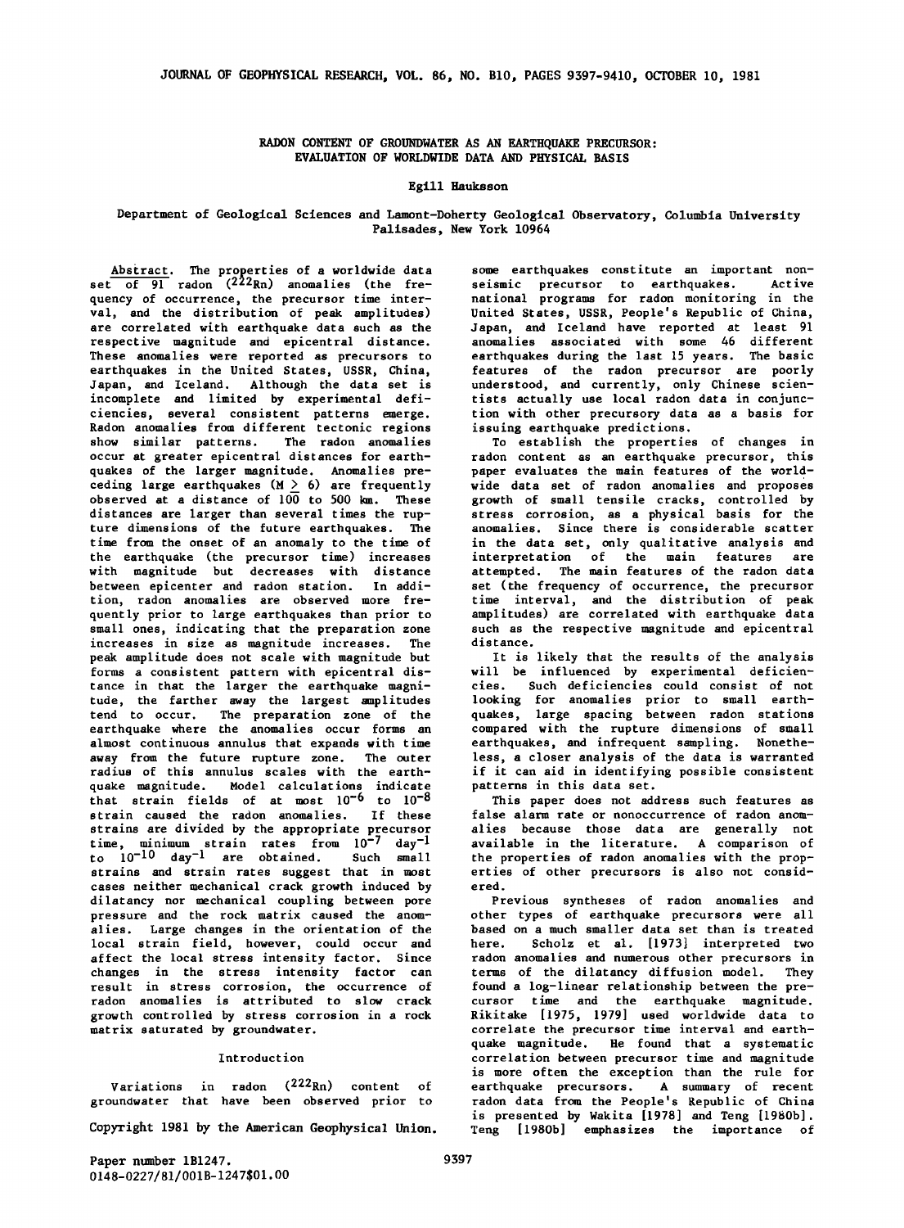RADON CONTENT OF GROUNDWATER AS AN EARTHQUAKE PRECURSOR: EVALUATION OF WORLDWIDE DATA AND PHYSICAL BASIS

## Egill Hauksson

# Department of Geological Sciences and Lamont-Doherty Geological Observatory, Columbia University Palisades, New York 10964

Abstract. The properties of a worldwide data  $\overline{\text{set} \quad \text{of} \quad 91}$  radon ( $222$ Rn) anomalies (the frequency of occurrence, the precursor time interval, and the distribution of peak amplitudes) are correlated with earthquake data such as the respective magnitude and epicentral distance. These anomalies were reported as precursors to earthquakes in the United States, USSR, China, Japan, and Iceland. Although the data set is incomplete and limited by experimental deficiencies, several consistent patterns emerge. Radon anomalies from different tectonic regions show similar patterns. The radon anomalies occur at greater epicentral distances for earthquakes of the larger magnitude. Anomalies pre-<br>ceding large earthquakes (M  $\geq$  6) are frequently observed at a distance of  $10\overline{0}$  to  $500$  km. These distances are larger than several times the rupture dimensions of the future earthquakes. The time from the onset of an anomaly to the time of the earthquake (the precursor time) increases with magnitude but decreases with distance between epicenter and radon station. In addition, radon anomalies are observed more frequently prior to large earthquakes than prior to small ones, indicating that the preparation zone increases in size as magnitude increases. The peak amplitude does not scale with magnitude but forms a consistent pattern with epicentral distance in that the larger the earthquake magnitude, the farther away the largest amplitudes tend to occur. The preparation zone of the earthquake where the anomalies occur forms an almost continuous annulus that expands with time away from the future rupture zone. The outer radius of this annulus scales with the earthquake magnitude. Model calculations indicate that strain fields of at most  $10^{-6}$  to  $10^{-8}$ strain caused the radon anomalies. If these strains are divided by the appropriate precursor time, minimum strain rates from  $10^{-7}$  day<sup>-1</sup> to 10-10 day-1 are obtained. Such small strains and strain rates suggest that in most cases neither mechanical crack growth induced by dilatancy nor mechanical coupling between pore pressure and the rock matrix caused the anomalies. Large changes in the orientation of the local strain field, however, could occur and affect the local stress intensity factor. Since changes in the stress intensity factor can result in stress corrosion, the occurrence of radon anomalies is attributed to slow crack growth controlled by stress corrosion in a rock matrix saturated by groundwater.

### Introduction

Variations in radon (222Rn) content of groundwater that have been observed prior to

Copyright 1981 by the American Geophysical Union.

some earthquakes constitute an important nonseismic precursor to earthquakes. Active national programs for radon monitoring in the United States, USSR, People's Republic of China, Japan, and Iceland have reported at least 91 anomalies associated with some 46 different earthquakes during the last 15 years. The basic features of the radon precursor are poorly understood, and currently, only Chinese scientists actually use local radon data in conjunction with other precursory data as a basis for issuing earthquake predictions.

To establish the properties of changes in radon content as an earthquake precursor, this paper evaluates the main features of the worldwide data set of radon anomalies and proposes growth of small tensile cracks, controlled by stress corrosion, as a physical basis for the anomalies. Since there is considerable scatter in the data set, only qualitative analysis and interpretation of the main features are attempted. The main features of the radon data set (the frequency of occurrence, the precursor time interval, and the distribution of peak amplitudes) are correlated with earthquake data such as the respective magnitude and epicentral distance.

It is likely that the results of the analysis will be influenced by experimental deficiencies. Such deficiencies could consist of not looking for anomalies prior to small earthquakes, large spacing between radon stations compared with the rupture dimensions of small earthquakes, and infrequent sampling. Nonetheless, a closer analysis of the data is warranted if it can aid in identifying possible consistent patterns in this data set.

This paper does not address such features as false alarm rate or nonoccurrence of radon anomalies because those data are generally not available in the literature. A comparison of the properties of radon anomalies with the properties of other precursors is also not considered.

Previous syntheses of radon anomalies and other types of earthquake precursors were all based on a much smaller data set than is treated here. Scholz et al. [1973] interpreted two radon anomalies and numerous other precursors in terms of the dilatancy diffusion model. They found a log-linear relationship between the precursor time and the earthquake magnitude, Rikitake [1975, 1979] used worldwide data to correlate the precursor time interval and earthquake magnitude. He found that a systematic correlation between precursor time and magnitude is more often the exception than the rule for earthquake precursors. A summary of recent radon data from the People's Republic of China is presented by Wakita [1978] and Teng [1980b], Teng [1980b] emphasizes the importance of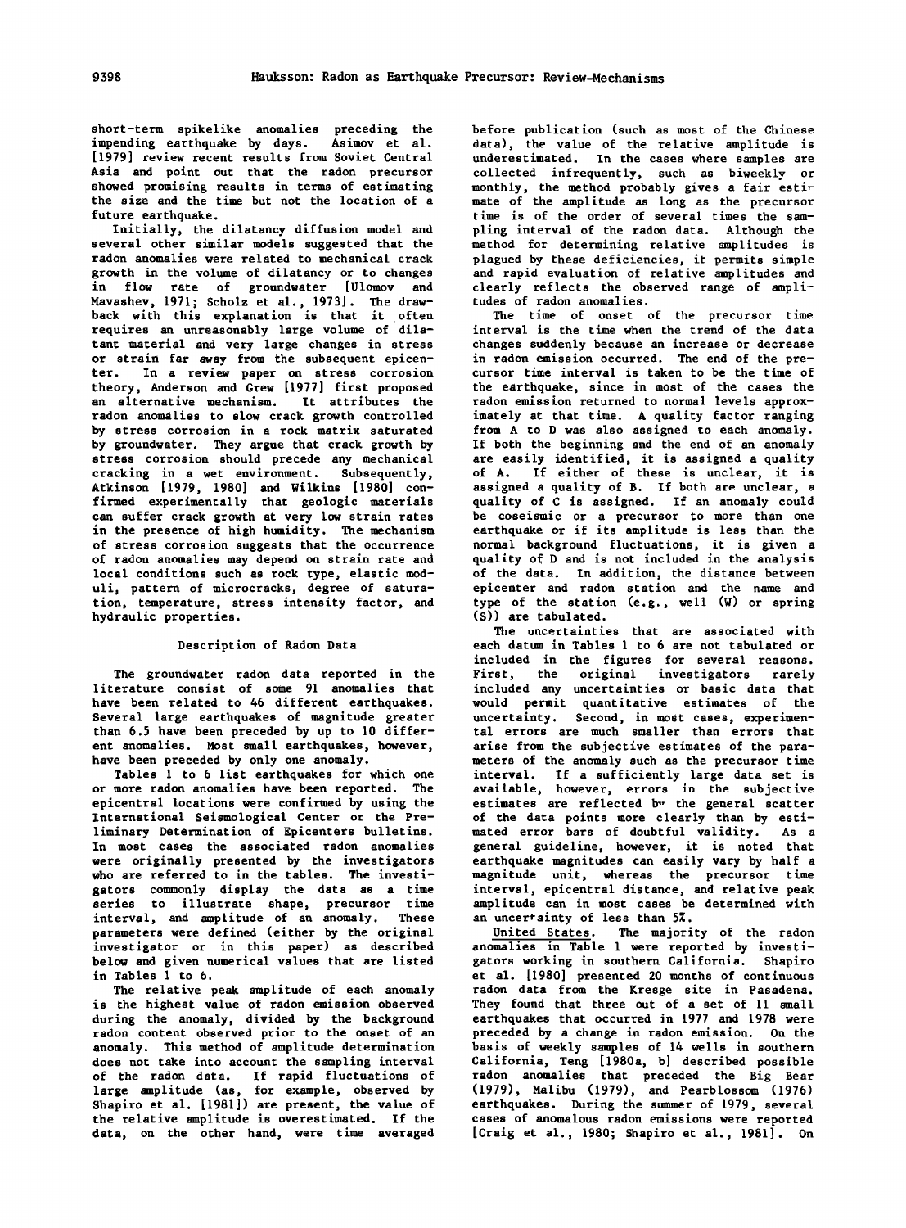short-term spikelike anomalies preceding the impending earthquake by days. Asimov et al. [1979] review recent results from Soviet Central Asia and point out that the radon precursor showed promising results in terms of estimating the size and the time but not the location of a future earthquake.

Initially, the dilatancy diffusion model and several other similar models suggested that the radon anomalies were related to mechanical crack growth in the volume of dilatancy or to changes in flow rate of groundwater [Ulomov and Mavashev, 1971; Scholz et al., 1973]. The drawback with this explanation is that it often requires an unreasonably large volume of dilatant material and very large changes in stress or strain far away from the subsequent epicenter. In a review paper on stress corrosion theory, Anderson and Grew [1977] first proposed an alternative mechanism. It attributes the radon anomalies to slow crack growth controlled by stress corrosion in a rock matrix saturated by groundwater. They argue that crack growth by stress corrosion should precede any mechanical cracking in a wet environment. Subsequently, Atkinson [1979, 1980] and Wilkins [1980] confirmed experimentally that geologic materials can suffer crack growth at very low strain rates in the presence of high humidity. The mechanism of stress corrosion suggests that the occurrence of radon anomalies may depend on strain rate and local conditions such as rock type, elastic moduli, pattern of microcracks, degree of saturation, temperature, stress intensity factor, and hydraulic properties.

## Description of Radon Data

The groundwater radon data reported in the literature consist of some 91 anomalies that have been related to 46 different earthquakes. Several large earthquakes of magnitude greater than 6.5 have been preceded by up to 10 different anomalies. Most small earthquakes, however, have been preceded by only one anomaly.

Tables l to 6 list earthquakes for which one or more radon anomalies have been reported. The epicentral locations were confirmed by using the International Seismological Center or the Preliminary Determination of Epicenters bulletins. In most cases the associated radon anomalies were originally presented by the investigators who are referred to in the tables. The investigators commonly display the data as a time series to illustrate shape, precursor time interval, and amplitude of an anomaly. These parameters were defined (either by the original investigator or in this paper) as described below and given numerical values that are listed in Tables l to 6.

The relative peak amplitude of each anomaly is the highest value of radon emission observed during the anomaly, divided by the background radon content observed prior to the onset of an anomaly. This method of amplitude determination does not take into account the sampling interval of the radon data. If rapid fluctuations of large amplitude (as, for example, observed by Shapiro et al. [1981]) are present, the value of the relative amplitude is overestimated. If the data, on the other hand, were time averaged

before publication (such as most of the Chinese data), the value of the relative amplitude is underestimated. In the cases where samples are collected infrequently, such as biweekly or monthly, the method probably gives a fair estimate of the amplitude as long as the precursor time is of the order of several times the sampling interval of the radon data. Although the method for determining relative amplitudes is plagued by these deficiencies, it permits simple and rapid evaluation of relative amplitudes and clearly reflects the observed range of amplitudes of radon anomalies.

The time of onset of the precursor time interval is the time when the trend of the data changes suddenly because an increase or decrease in radon emission occurred. The end of the precursor time interval is taken to be the time of the earthquake, since in most of the cases the radon emission returned to normal levels approximately at that time. A quality factor ranging from A to D was also assigned to each anomaly. If both the beginning and the end of an anomaly are easily identified, it is assigned a quality of A. If either of these is unclear, it is assigned a quality of B. If both are unclear, a quality of C is assigned. If an anomaly could be coseismic or a precursor to more than one earthquake or if its amplitude is less than the normal background fluctuations, it is given a quality of D and is not included in the analysis of the data. In addition, the distance between epicenter and radon station and the name and type of the station (e.g., well (W) or spring (S)) are tabulated.

The uncertainties that are associated with each datum in Tables 1 to 6 are not tabulated or included in the figures for several reasons. First, the original investigators rarely included any uncertainties or basic data that would permit quantitative estimates of the uncertainty. Second, in most cases, experimental errors are much smaller than errors that arise from the subjective estimates of the parameters of the anomaly such as the precursor time interval. If a sufficiently large data set is available, however, errors in the subjective estimates are reflected by the general scatter of the data points more clearly than by estimated error bars of doubtful validity. As a general guideline, however, it is noted that earthquake magnitudes can easily vary by half a magnitude unit, whereas the precursor time interval, epicentral distance, and relative peak amplitude can in most cases be determined with an uncertainty of less than 5%.

United States. The majority of the radon anomalies in Table 1 were reported by investigators working in southern California. Shapiro et al. [1980] presented 20 months of continuous radon data from the Kresge site in Pasadena. They found that three out of a set of 11 small earthquakes that occurred in 1977 and 1978 were preceded by a change in radon emission. On the basis of weekly samples of 14 wells in southern California, Teng [l980a, b] described possible radon anomalies that preceded the Big Bear  $(1979)$ , Malibu (1979), and Pearblossom  $(1976)$ earthquakes. During the summer of 1979, several cases of anomalous radon emissions were reported [Craig et al., 1980; Shapiro et al., 1981]. On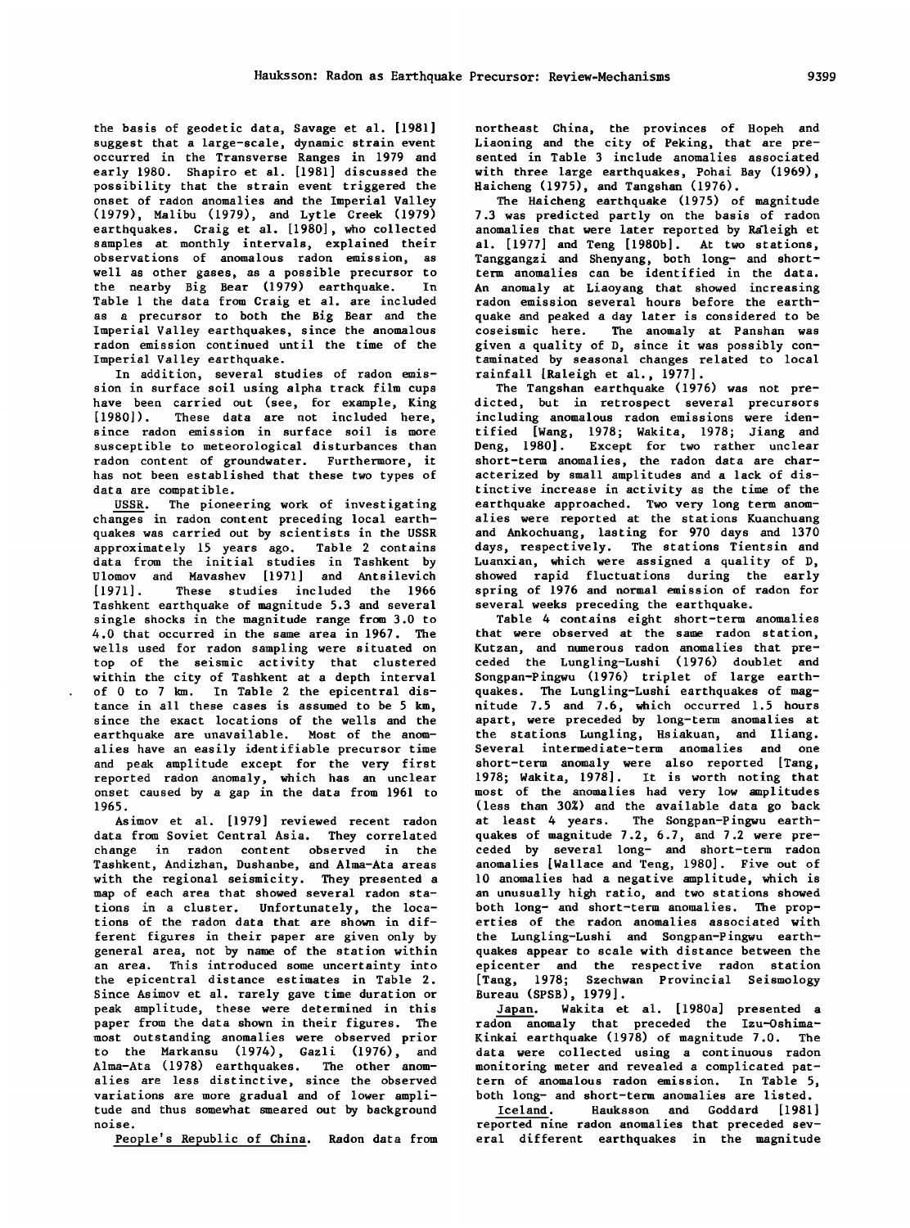the basis of geodetic data, Savage et al. [1981) suggest that a large-scale, dynamic strain event occurred in the Transverse Ranges in 1979 and early 1980. Shapiro et al. [1981) discussed the possibility that the strain event triggered the onset of radon anomalies and the Imperial Valley (1979), Malibu (1979), and Lytle Creek (1979) earthquakes. Craig et al. [1980), who collected samples at monthly intervals, explained their observations of anomalous radon emission, as well as other gases, as a possible precursor to the nearby Big Bear (1979) earthquake. In Table 1 the data from Craig et al. are included as a precursor to both the Big Bear and the Imperial Valley earthquakes, since the anomalous radon emission continued until the time of the Imperial Valley earthquake.

In addition, several studies of radon emission in surface soil using alpha track film cups have been carried out (see, for example, King [1980]). These data are not included here, since radon emission in surface soil is more susceptible to meteorological disturbances than radon content of groundwater. Furthermore, it has not been established that these two types of data are compatible.

USSR. The pioneering work of investigating changes in radon content preceding local earthquakes was carried out by scientists in the USSR approximately 15 years ago. Table 2 contains data from the initial studies in Tashkent by Ulomov and Mavashev [1971] and Antsilevich [1971]. These studies included the 1966 Tashkent earthquake of magnitude 5.3 and several single shocks in the magnitude range from 3.0 to 4.0 that occurred in the same area in 1967. The wells used for radon sampling were situated on top of the seismic activity that clustered within the city of Tashkent at a depth interval of 0 to 7 km. In Table 2 the epicentral distance in all these cases is assumed to be *5* km, since the exact locations of the wells and the earthquake are unavailable. Most of the anomalies have an easily identifiable precursor time and peak amplitude except for the very first reported radon anomaly, which has an unclear onset caused by a gap in the data from 1961 to 1965.

Asimov et al. [1979] reviewed recent radon data from Soviet Central Asia. They correlated change in radon content observed in the Tashkent, Andizhan, Dushanbe, and Alma-Ata areas with the regional seismicity. They presented a map of each area that showed several radon stations in a cluster. Unfortunately, the locations of the radon data that are shown in different figures in their paper are given only by general area, not by name of the station within an area. This introduced some uncertainty into the epicentral distance estimates in Table 2. Since Asimov et al. rarely gave time duration or peak amplitude, these were determined in this paper from the data shown in their figures. The most outstanding anomalies were observed prior to the Markansu (1974), Gazli (1976), and Alma-Ata (1978) earthquakes. The other anomalies are less distinctive, since the observed variations are more gradual and of lower amplitude and thus somewhat smeared out by background noise.

People's Republic of China. Radon data from

northeast China, the provinces of Hopeh and Liaoning and the city of Peking, that are presented in Table 3 include anomalies associated with three large earthquakes, Pohai Bay (1969), Haicheng (1975), and Tangshan (1976).

The Haicheng earthquake  $(1975)$  of magnitude 7.3 was predicted partly on the basis of radon anomalies that were later reported by Raleigh et al. [1977] and Teng [1980b]. At two stations, Tanggangzi and Shenyang, both long- and shortterm anomalies can be identified in the data. An anomaly at Liaoyang that showed increasing radon emission several hours before the earthquake and peaked a day later is considered to be coseismic here. The anomaly at Panshan was given a quality of D, since it was possibly contaminated by seasonal changes related to local rainfall [Raleigh et al., 1977].

The Tangshan earthquake (1976) was not predicted, but in retrospect several precursors including anomalous radon emissions were identified [Wang, 1978; Wakita, 1978; Jiang and Deng, 1980]. Except for two rather unclear short-term anomalies, the radon data are characterized by small amplitudes and a lack of distinctive increase in activity as the time of the earthquake approached. Two very long term anomalies were reported at the stations Kuanchuang and Ankochuang, lasting for 970 days and 1370 days, respectively. The stations Tientsin and Luanxian, which were assigned a quality of D, showed rapid fluctuations during the early spring of 1976 and normal emission of radon for several weeks preceding the earthquake.

Table 4 contains eight short-term anomalies that were observed at the same radon station, Kutzan, and numerous radon anomalies that preceded the Lungling-Lushi (1976) doublet and Songpan-Pingwu (1976) triplet of large earthquakes. The Lungling-Lushi earthquakes of magnitude 7.5 and 7.6, which occurred 1.5 hours apart, were preceded by long-term anomalies at the stations Lungling, Hsiakuan, and Iliang. Several intermediate-term anomalies and one short-term anomaly were also reported [Tang, 1978; Wakita, 1978]. It is worth noting that most of the anomalies had very low amplitudes (less than 30%) and the available data go back at least 4 years. The Songpan-Pingwu earthquakes of magnitude 7.2, 6.7, and 7.2 were preceded by several long- and short-term radon anomalies [Wallace and Teng, 1980]. Five out of 10 anomalies had a negative amplitude, which is an unusually high ratio, and two stations showed both long- and short-term anomalies. The properties of the radon anomalies associated with the Lungling-Lushi and Songpan-Pingwu earthquakes appear to scale with distance between the epicenter and the respective radon station [Tang, 1978; Szechwan Provincial Seismology Bureau (SPSB), 1979].

Japan. Wakita et al. [ 1980a] presented a radon anomaly that preceded the Izu-Qshima-Kinkai earthquake  $(1978)$  of magnitude 7.0. The data were collected using a continuous radon monitoring meter and revealed a complicated pattern of anomalous radon emission. In Table 5, both long- and short-term anomalies are listed.

Iceland. Hauksson and Goddard [1981) reported nine radon anomalies that preceded several different earthquakes in the magnitude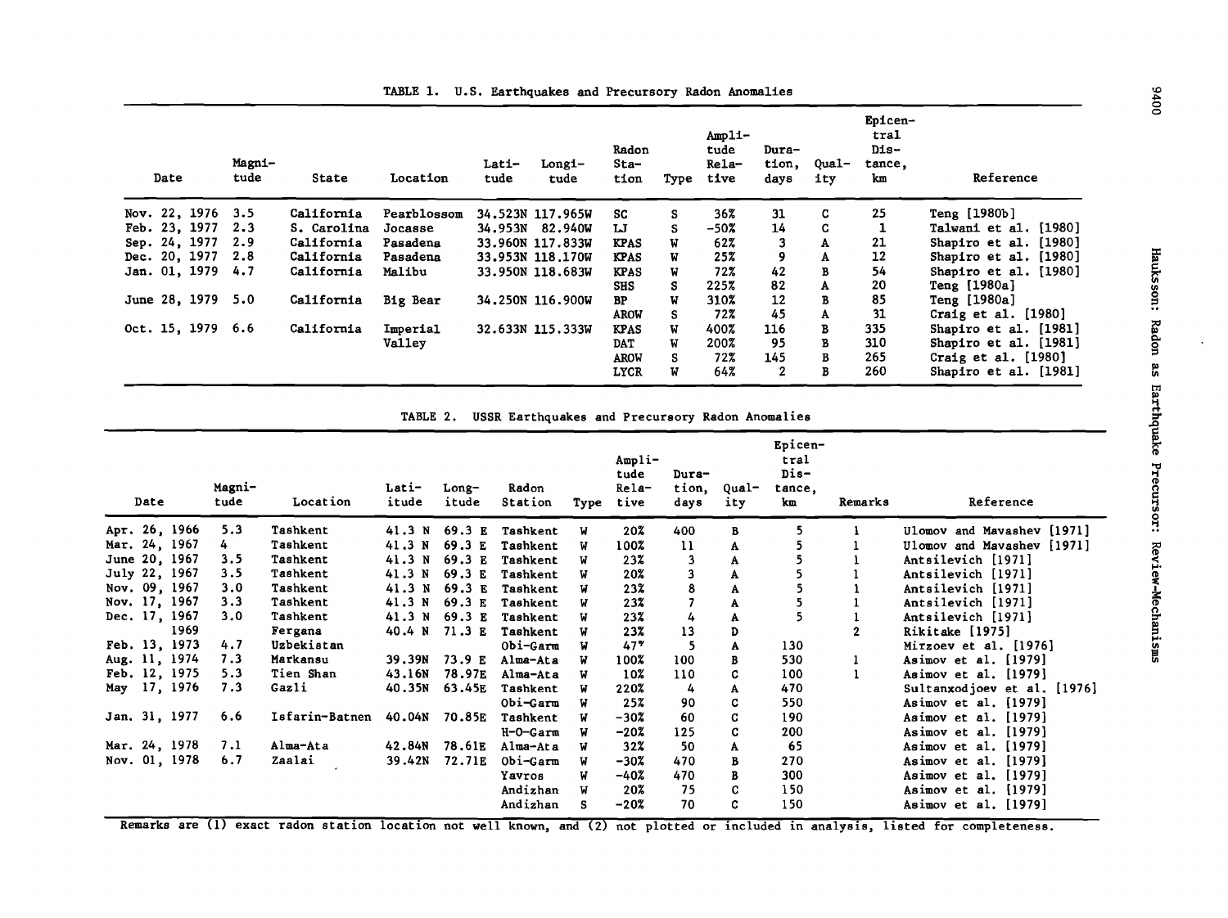| Date |                   | Magni-<br>tude | State       | Location    | Lati-<br>tude | Longi-<br>tude   | Radon<br>Sta-<br>tion | Type | $Amp11-$<br>tude<br>Rela-<br>tive | Dura-<br>tion,<br>days | Qual-<br>ity | Epicen-<br>tral<br>Dis-<br>tance,<br>km | Reference             |
|------|-------------------|----------------|-------------|-------------|---------------|------------------|-----------------------|------|-----------------------------------|------------------------|--------------|-----------------------------------------|-----------------------|
|      | Nov. 22, 1976 3.5 |                | California  | Pearblossom |               | 34.523N 117.965W | SC                    | s    | 36%                               | 31                     | C            | 25                                      | Teng [1980b]          |
|      | Feb. 23, 1977 2.3 |                | S. Carolina | Jocasse     |               | 34.953N 82.940W  | IJ                    |      | -50%                              | 14                     | C.           |                                         | Talwani et al. [1980] |
|      | Sep. 24, 1977     | 2.9            | California  | Pasadena    |               | 33.960N 117.833W | <b>KPAS</b>           |      | 62%                               | 3                      | А            | 21                                      | Shapiro et al. [1980] |
|      | Dec. 20, 1977 2.8 |                | California  | Pasadena    |               | 33.953N 118.170W | <b>KPAS</b>           | W    | 25%                               | 9                      | А            | 12                                      | Shapiro et al. [1980] |
|      | Jan. 01, 1979 4.7 |                | California  | Malibu      |               | 33.950N 118.683W | <b>KPAS</b>           |      | 72%                               | 42                     | в            | 54                                      | Shapiro et al. [1980] |
|      |                   |                |             |             |               |                  | <b>SHS</b>            | s    | 225%                              | 82                     | A            | 20                                      | Teng [1980a]          |
|      | June 28, 1979 5.0 |                | California  | Big Bear    |               | 34.250N 116.900W | BP                    | W    | 310%                              | 12                     | В            | 85                                      | Teng [1980a]          |
|      |                   |                |             |             |               |                  | <b>AROW</b>           |      | 72%                               | 45                     | A            | 31                                      | Craig et al. $[1980]$ |
|      | Oct. 15, 1979 6.6 |                | California  | Imperial    |               | 32.633N 115.333W | <b>KPAS</b>           | W    | 400%                              | 116                    | в            | 335                                     | Shapiro et al. [1981] |
|      |                   |                |             | Valley      |               |                  | <b>DAT</b>            | W    | 200%                              | 95                     | в            | 310                                     | Shapiro et al. [1981] |
|      |                   |                |             |             |               |                  | <b>AROW</b>           | S.   | 72%                               | 145                    | в            | 265                                     | Craig et al. $[1980]$ |
|      |                   |                |             |             |               |                  | <b>LYCR</b>           | W    | 64%                               | 2                      | в            | 260                                     | Shapiro et al. [1981] |

TABLE 1. U.S. Earthquakes and Precursory Radon Anomalies

TABLE 2. USSR Earthquakes and Precursory Radon Anomalies

| Date          | Magni-<br>tude | Location       | Lati-<br>itude | Long-<br>itude | Radon<br>Station | Type | $Amp1i-$<br>tude<br>Rela-<br>tive | Dura-<br>tion,<br>days | Qual-<br>ity | Epicen-<br>tral<br>Dis-<br>tance,<br>km | Remarks | Reference                   |
|---------------|----------------|----------------|----------------|----------------|------------------|------|-----------------------------------|------------------------|--------------|-----------------------------------------|---------|-----------------------------|
| Арт. 26, 1966 | 5.3            | Tashkent       | 41.3 N         | 69.3 E         | Tashkent         | W    | 20%                               | 400                    | В            | 5                                       |         | Ulomov and Mavashev [1971]  |
| Mar. 24, 1967 | 4              | Tashkent       | 41.3 N         | 69.3 E         | Tashkent         | W    | 100%                              | 11                     | A            | 5                                       |         | Ulomov and Mavashev [1971]  |
| June 20, 1967 | 3.5            | Tashkent       | 41.3 N         | 69.3 E         | Tashkent         | N    | 23%                               | 3                      | A            |                                         |         | Antsilevich [1971]          |
| July 22, 1967 | 3.5            | Tashkent       | 41.3 N         | 69.3 E         | Tashkent         | N    | 20%                               | 3                      | A            |                                         |         | Antsilevich [1971]          |
| Nov. 09, 1967 | 3.0            | Tashkent       | 41.3 N         | 69.3 E         | Tashkent         | W    | 23%                               | 8                      | A            | 5                                       |         | Antsilevich [1971]          |
| Nov. 17, 1967 | 3.3            | Tashkent       | 41.3 N         | 69.3 E         | Tashkent         | W    | 23%                               |                        | A            | $\frac{5}{5}$                           |         | Antsilevich [1971]          |
| Dec. 17, 1967 | 3.0            | Tashkent       | 41.3 N         | 69.3 E         | Tashkent         | N    | 23%                               | 4                      | A            |                                         |         | Antsilevich [1971]          |
| 1969          |                | Fergana        | 40.4 N         | 71.3E          | Tashkent         | W    | 23%                               | 13                     | D            |                                         |         | Rikitake [1975]             |
| Feb. 13, 1973 | 4.7            | Uzbekistan     |                |                | Obi-Garm         | W    | 47%                               | 5                      | A            | 130                                     |         | Mirzoev et al. $[1976]$     |
| Aug. 11, 1974 | 7.3            | Markansu       | 39.39N         | 73.9 E         | Alma-Ata         | N    | 100%                              | 100                    | B            | 530                                     | 1       | Asimov et al. $[1979]$      |
| Feb. 12, 1975 | 5.3            | Tien Shan      | 43.16N         | 78.97E         | Alma-Ata         | W    | 10%                               | 110                    | C            | 100                                     |         | Asimov et al. [1979]        |
| May 17, 1976  | 7.3            | Gazli          | 40.35N         | 63.45E         | Tashkent         | W    | 220%                              | 4                      | A            | 470                                     |         | Sultanxodjoev et al. [1976] |
|               |                |                |                |                | Obi-Garm         | W    | 25%                               | 90                     | c            | 550                                     |         | Asimov et al. [1979]        |
| Jan. 31, 1977 | 6.6            | Isfarin-Batnen | 40.04N         | 70.85E         | Tashkent         | W    | $-30z$                            | 60                     | C            | 190                                     |         | Asimov et al. [1979]        |
|               |                |                |                |                | H-0-Garm         | W    | $-20%$                            | 125                    | C            | 200                                     |         | Asimov et al. [1979]        |
| Mar. 24, 1978 | 7.1            | Alma-Ata       | 42.84N         | 78.61E         | Alma-Ata         | W    | 32%                               | 50                     | A            | 65                                      |         | Asimov et al. [1979]        |
| Nov. 01, 1978 | 6.7            | Zaalai         | 39.42N         | 72.71E         | Obi-Garm         | W    | $-302$                            | 470                    | в            | 270                                     |         | Asimov et al. [1979]        |
|               |                |                |                |                | Yavros           | W    | $-40%$                            | 470                    | B            | 300                                     |         | Asimov et al. [1979]        |
|               |                |                |                |                | Andizhan         | W    | 20%                               | 75                     | C            | 150                                     |         | Asimov et al. [1979]        |
|               |                |                |                |                | Andizhan         | s    | $-20%$                            | 70                     | C            | 150                                     |         | Asimov et al. [1979]        |

Remarks are (1) exact radon station location not well known, and (2) not plotted or included in analysis, listed for completeness.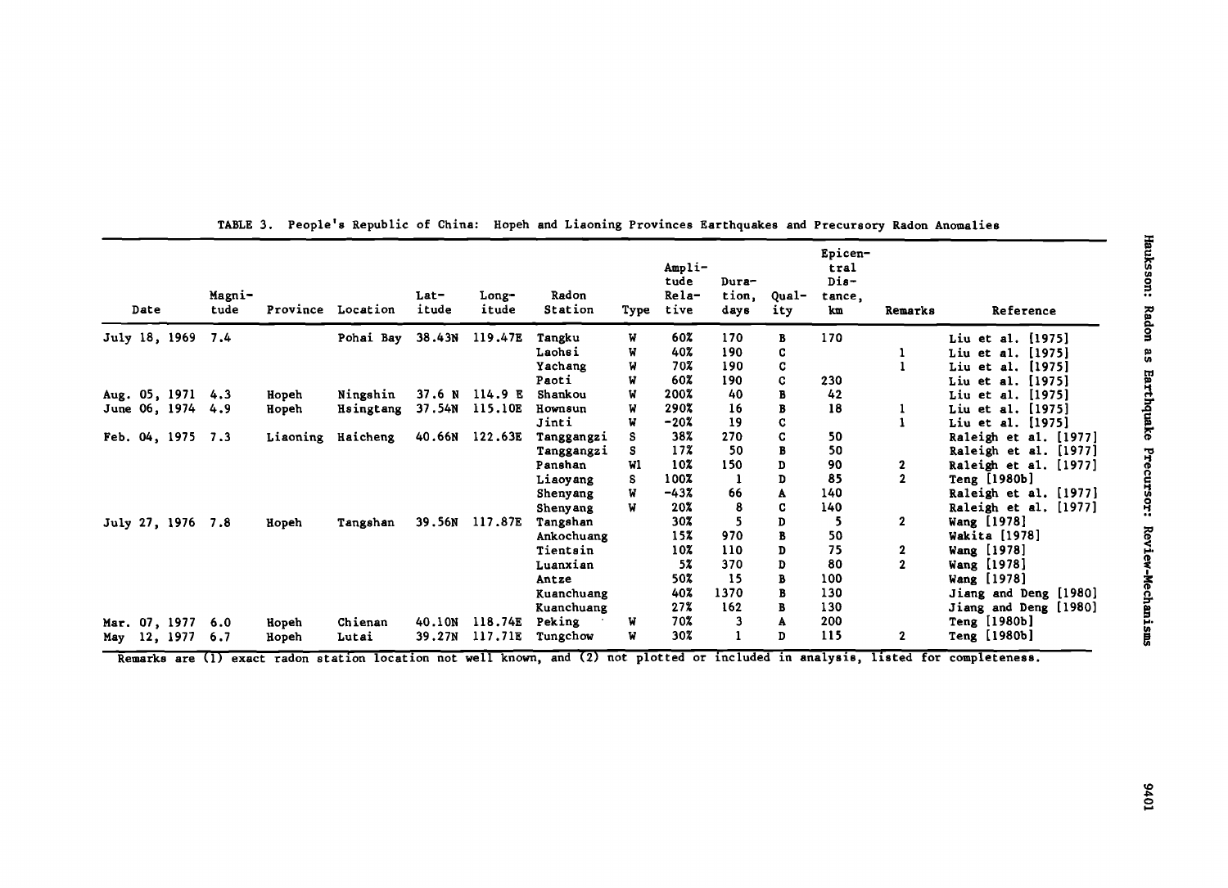| Date              | Magni-<br>tude |          | Province Location | Lat-<br>itude | Long-<br>itude | Radon<br>Station | Type | Ampli-<br>tude<br>Rela-<br>tive | Dura-<br>tion,<br>days | Oual-<br>ity | Epicen-<br>tral<br>$Dis-$<br>tance,<br>km | Remarks        | Reference             |
|-------------------|----------------|----------|-------------------|---------------|----------------|------------------|------|---------------------------------|------------------------|--------------|-------------------------------------------|----------------|-----------------------|
| July 18, 1969     | 7.4            |          | Pohai Bay         | 38.43N        | 119.47E        | Tangku           | W    | 60%                             | 170                    | в            | 170                                       |                | Liu et al. [1975]     |
|                   |                |          |                   |               |                | Lachsi           | W    | 40%                             | 190                    | C            |                                           |                | Liu et al. [1975]     |
|                   |                |          |                   |               |                | Yachang          | W    | 70%                             | 190                    | C            |                                           |                | Liu et al. [1975]     |
|                   |                |          |                   |               |                | Paoti            |      | 60%                             | 190                    | C            | 230                                       |                | Liu et al. [1975]     |
| Aug. 05, 1971 4.3 |                | Hopeh    | Ningshin          | 37.6 N        | 114.9 E        | Shankou          | W    | 200%                            | 40                     | в            | 42                                        |                | Liu et al. [1975]     |
| June 06, 1974 4.9 |                | Hopeh    | Hsingtang         | 37.54N        | 115.10E        | Hownsun          | W    | 290%                            | 16                     | B            | 18                                        |                | Liu et al. [1975]     |
|                   |                |          |                   |               |                | Jinti            | W    | $-20%$                          | 19                     | C            |                                           |                | Liu et al. [1975]     |
| Feb. 04, 1975 7.3 |                | Liaoning | Haicheng          | 40.66N        | 122.63E        | Tanggangzi       |      | 38%                             | 270                    | C            | 50                                        |                | Raleigh et al. [1977] |
|                   |                |          |                   |               |                | Tanggangzi       | s    | 17%                             | 50                     | B            | 50                                        |                | Raleigh et al. [1977] |
|                   |                |          |                   |               |                | Panshan          | Wl   | 10%                             | 150                    | D            | 90                                        | 2              | Raleigh et al. [1977] |
|                   |                |          |                   |               |                | Liaoyang         | s    | 100%                            |                        | D            | 85                                        | $\overline{2}$ | Teng [1980b]          |
|                   |                |          |                   |               |                | Shenyang         | W    | $-43%$                          | 66                     | A            | 140                                       |                | Raleigh et al. [1977] |
|                   |                |          |                   |               |                | Shenyang         | W    | 20%                             | 8                      | C            | 140                                       |                | Raleigh et al. [1977] |
| July 27, 1976 7.8 |                | Hopeh    | Tangshan          | 39.56N        | 117.87E        | Tangshan         |      | 30%                             |                        | D            | 5                                         | $\mathbf{2}$   | Wang [1978]           |
|                   |                |          |                   |               |                | Ankochuang       |      | 15%                             | 970                    | B            | 50                                        |                | Wakita [1978]         |
|                   |                |          |                   |               |                | Tientsin         |      | 10%                             | 110                    | D            | 75                                        | 2              | Wang [1978]           |
|                   |                |          |                   |               |                | Luanxian         |      | 5%                              | 370                    | D            | 80                                        | $\overline{2}$ | Wang [1978]           |
|                   |                |          |                   |               |                | Antze            |      | 50%                             | 15                     | В            | 100                                       |                | Wang [1978]           |
|                   |                |          |                   |               |                | Kuanchuang       |      | 40%                             | 1370                   | B            | 130                                       |                | Jiang and Deng [1980] |
|                   |                |          |                   |               |                | Kuanchuang       |      | 27%                             | 162                    | В            | 130                                       |                | Jiang and Deng [1980] |
| Mar. 07, 1977     | 6.0            | Hopeh    | Chienan           | 40.10N        | 118.74E        | Peking           | W    | 70%                             |                        | A            | 200                                       |                | Teng [1980b]          |
| May 12, 1977      | 6.7            | Hopeh    | Lutai             | 39.27N        | 117.71E        | Tungchow         | W    | 30%                             |                        | D            | 115                                       | $\mathbf{2}$   | Teng [1980b]          |

TABLE 3. People's Republic of China: Hopeh and Liaoning Provinces Earthquakes and Precursory Radon Anomalies

Remarks are (1) exact radon station location not well known, and (2) not plotted or included in analysis, listed for completeness.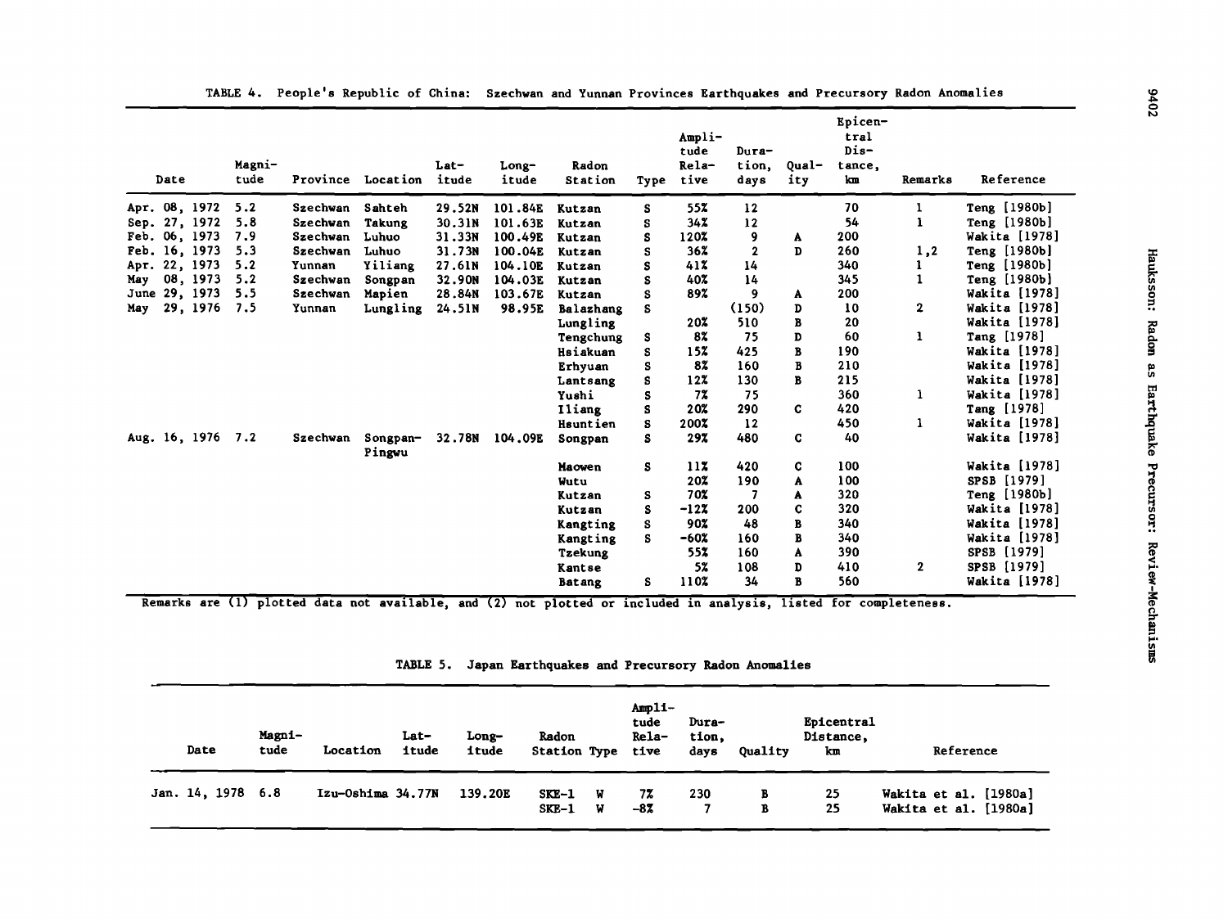|     | Date |               | Magni-<br>tude | Province | Location           | Lat-<br>itude | Long-<br>itude | Radon<br>Station | Type | Ampli-<br>tude<br>Rela-<br>tive | Dura-<br>tion,<br>days | Qual-<br>ity | Epicen-<br>tral<br>$Dis-$<br>tance,<br>km | Remarks      | Reference            | ៲៷             |
|-----|------|---------------|----------------|----------|--------------------|---------------|----------------|------------------|------|---------------------------------|------------------------|--------------|-------------------------------------------|--------------|----------------------|----------------|
|     |      | Apr. 08, 1972 | 5.2            | Szechwan | Sahteh             | 29.52N        | 101.84E        | Kutzan           | s    | 55%                             | 12                     |              | 70                                        |              | Teng [1980b]         |                |
|     |      | Sep. 27, 1972 | 5.8            | Szechwan | <b>Takung</b>      | 30.31N        | 101.63E        | Kutzan           | S    | 34%                             | $\frac{12}{2}$         |              | 54                                        |              | Teng [1980b]         |                |
|     |      | Feb. 06, 1973 | 7.9            | Szechwan | Luhuo              | 31.33N        | 100.49E        | Kutzan           | S    | 120%                            | 9                      | A            | 200                                       |              | Wakita [1978]        |                |
|     |      | Feb. 16, 1973 | 5.3            | Szechwan | Luhuo              | 31.73N        | 100.04E        | Kutzan           | S    | 36 <sup>z</sup>                 | $\mathbf 2$            | D            | 260                                       | 1,2          | Teng [1980b]         |                |
|     |      | Apr. 22, 1973 | 5.2            | Yunnan   | Yiliang            | 27.61N        | 104.10E        | Kutzan           | s    | 41%                             | 14                     |              | 340                                       |              | Teng [1980b]         |                |
| May |      | 08, 1973      | 5.2            | Szechwan | Songpan            | 32.90N        | 104.03E        | Kutzan           | S    | 40%                             | 14                     |              | 345                                       | 1            | Teng [1980b]         |                |
|     |      | June 29, 1973 | 5.5            | Szechwan | Mapien             | 28.84N        | 103.67E        | Kutzan           | S    | 89%                             | 9                      | A            | 200                                       |              | <b>Wakita</b> [1978] | Hauksson:      |
| May |      | 29, 1976      | 7.5            | Yunnan   | Lungling           | 24.51N        | 98.95E         | Balazhang        | S    |                                 | (150)                  | D            | 10                                        | $\mathbf{2}$ | Wakita [1978]        |                |
|     |      |               |                |          |                    |               |                | Lungling         |      | 20%                             | 510                    | В            | 20                                        |              | Wakita [1978]        | Radon          |
|     |      |               |                |          |                    |               |                | Tengchung        | s    | 8%                              | 75                     | D            | 60                                        | 1            | Tang [1978]          |                |
|     |      |               |                |          |                    |               |                | Hsiakuan         | s    | 15%                             | 425                    | B            | 190                                       |              | <b>Wakita</b> [1978] |                |
|     |      |               |                |          |                    |               |                | Erhyuan          | S    | 8%                              | 160                    | B            | 210                                       |              | <b>Wakita</b> [1978] | $\mathbf{a}$ s |
|     |      |               |                |          |                    |               |                | Lantsang         | Ś    | 12 <sup>2</sup>                 | 130                    | B            | 215                                       |              | Wakita [1978]        |                |
|     |      |               |                |          |                    |               |                | Yushi            | s    | 7%                              | 75                     |              | 360                                       | 1            | Wakita [1978]        |                |
|     |      |               |                |          |                    |               |                | Iliang           | s    | 20%                             | 290                    | C            | 420                                       |              | Tang [1978]          |                |
|     |      |               |                |          |                    |               |                | <b>Hsuntien</b>  | s    | 200%                            | 12                     |              | 450                                       |              | <b>Wakita</b> [1978] |                |
|     |      | Aug. 16, 1976 | 7.2            | Szechwan | Songpan-<br>Pingwu | 32.78N        | 104.09E        | Songpan          | S    | 29%                             | 480                    | $\mathbf C$  | 40                                        |              | <b>Wakita</b> [1978] | Earthquake     |
|     |      |               |                |          |                    |               |                | Maowen           | s    | 117                             | 420                    | c            | 100                                       |              | <b>Wakita</b> [1978] |                |
|     |      |               |                |          |                    |               |                | Wutu             |      | 20%                             | 190                    | A            | 100                                       |              | SPSB [1979]          |                |
|     |      |               |                |          |                    |               |                | Kutzan           | s    | 70%                             |                        | A            | 320                                       |              | Teng [1980b]         |                |
|     |      |               |                |          |                    |               |                | Kutzan           | s    | $-12X$                          | 200                    | C            | 320                                       |              | Wakita [1978]        |                |
|     |      |               |                |          |                    |               |                | Kangting         | s    | 90%                             | 48                     | в            | 340                                       |              | Wakita [1978]        | Precursor:     |
|     |      |               |                |          |                    |               |                | Kangting         | s    | $-60x$                          | 160                    | В            | 340                                       |              | Wakita [1978]        |                |
|     |      |               |                |          |                    |               |                | <b>Tzekung</b>   |      | 55%                             | 160                    | A            | 390                                       |              | SPSB [1979]          |                |
|     |      |               |                |          |                    |               |                | Kantse           |      | 5 <sup>z</sup>                  | 108                    | D            | 410                                       | $\mathbf{2}$ | SPSB [1979]          |                |
|     |      |               |                |          |                    |               |                | <b>Batang</b>    | s    | 110%                            | 34                     | $\mathbf{B}$ | 560                                       |              | Wakita [1978]        | Review-        |

TABLE 4. People's Republic of China: Szechwan and Yunnan Provinces Earthquakes and Precursory Radon Anomalies 1.0

Remarks are (1) plotted data not available, and (2) not plotted or included in analysis, listed for completeness.

| TABLE 5. Japan Earthquakes and Precursory Radon Anomalies |  |
|-----------------------------------------------------------|--|

| Date              | Magni-<br>tude | Location          | Lat-<br>itude | Long-<br>itude | Radon<br><b>Station Type</b> |        | $Amp11-$<br>tude<br>Rela-<br>tive | Dura-<br>tion.<br>davs | Ouality | Epicentral<br>Distance,<br>km | Reference                                      |
|-------------------|----------------|-------------------|---------------|----------------|------------------------------|--------|-----------------------------------|------------------------|---------|-------------------------------|------------------------------------------------|
| Jan. 14, 1978 6.8 |                | Izu-Oshima 34.77N |               | 139.20E        | SKE-1<br>SKE-1               | W<br>W | 7%<br>$-87$                       | 230                    | в<br>В  | 25<br>25                      | Wakita et al. [1980a]<br>Wakita et al. [1980a] |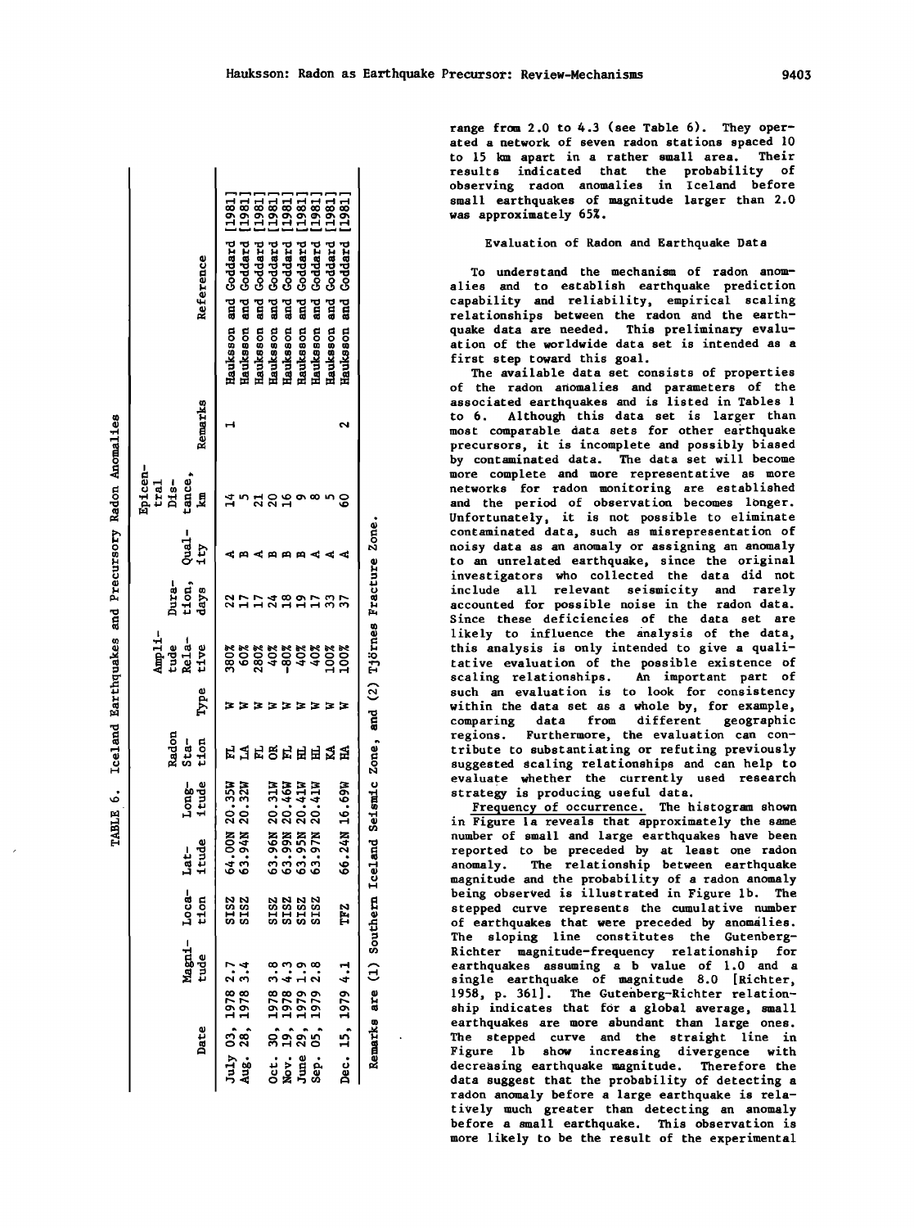| Date          |                                                                             | Magni-<br>tude            |                            | ٥<br>Loca- Lat-<br>tion itud                                                      | Long-<br>itude                 | Radon<br>Sta-<br>tion | Type | Ampli-<br>tude<br>Rela-<br>tive           | Dura-<br>tion,<br>days | Qual –<br>1ty | Epicen-<br>tral<br>Dis-<br>tance,<br>km | Remarks | Reference                                                     |
|---------------|-----------------------------------------------------------------------------|---------------------------|----------------------------|-----------------------------------------------------------------------------------|--------------------------------|-----------------------|------|-------------------------------------------|------------------------|---------------|-----------------------------------------|---------|---------------------------------------------------------------|
|               | July 03, 1978<br>Aug. 28, 1978                                              | 2.1<br>2.1                | SISZ<br>SISZ               |                                                                                   | 64.00N 20.35W<br>63.94N 20.32W |                       |      | 8<br>8088888888<br>8089999900<br>80888888 |                        |               |                                         |         | 1981<br>and Goddard<br>Goddard<br>ដូ<br>Hauksson<br>Hauksson  |
|               |                                                                             |                           |                            |                                                                                   |                                | <b>马肯읎덕펵멱交习</b>       | 3333 |                                           |                        |               |                                         |         | <b>sississi</b><br>Anggang<br>Goddard<br>and<br>G<br>Hauksson |
|               |                                                                             |                           |                            |                                                                                   |                                |                       |      |                                           |                        |               |                                         |         | Goddard<br>ដូ<br>Hauksson                                     |
| <br>ខុន្តកំពូ | $\begin{array}{r} 30, 1978 \\ 19, 1978 \\ 29, 1979 \\ 05, 1979 \end{array}$ | 8<br>8 9 9 8 9<br>8 4 1 8 | <b>222222223</b><br>222222 | 63.96N<br>63.95N<br>63.95N<br>63.97N                                              | 20.31W<br>20.46W<br>20.41W     |                       |      |                                           |                        |               |                                         |         | Coddard<br>and<br>5<br>Hauksson                               |
|               |                                                                             |                           |                            |                                                                                   |                                |                       |      |                                           |                        |               |                                         |         | Goddard<br>and<br>Ei<br>Hauksson                              |
|               |                                                                             |                           |                            |                                                                                   | 41W<br>ລຸ່                     |                       |      |                                           |                        |               |                                         |         | Goddard<br>and<br>G<br>Hauksson                               |
|               |                                                                             |                           |                            |                                                                                   |                                |                       |      |                                           |                        |               |                                         |         | 1981<br>Goddard<br>and<br>5<br>Hauksson                       |
|               | Dec. 15, 1979 4.1                                                           |                           | TF <sub>Z</sub>            |                                                                                   | 66.24N 16.69W                  |                       |      |                                           |                        |               |                                         |         | 1981<br>Goddard<br>and<br>a<br>Hauksson                       |
|               |                                                                             |                           |                            | Remarks are $(1)$ Southern Iceland Seismic Zone, and $(2)$ Tiörnes Fracture Zone. |                                |                       |      |                                           |                        |               |                                         |         |                                                               |

6. Iceland Earthquakes and Precursory Radon Anomalies

**TABLE** 

range from 2.0 to 4.3 (see Table 6). They operated a network of seven radon stations spaced 10 to 15 km apart in a rather small area. Their results indicated that the probability of observing radon anomalies in Iceland before small earthquakes of magnitude larger than 2.0 was approximately 65%.

## Evaluation of Radon and Earthquake Data

To understand the mechanism of radon anomalies and to establish earthquake prediction capability and reliability, empirical scaling relationships between the radon and the earthquake data are needed. This preliminary evaluation of the worldwide data set is intended as a first step toward this goal.

The available data set consists of properties of the radon anomalies and parameters of the associated earthquakes and is listed in Tables 1 to 6. Although this data set is larger than most comparable data sets for other earthquake precursors, it is incomplete and possibly biased by contaminated data. The data set will become more complete and more representative as more networks for radon monitoring are established and the period of observation becomes longer. Unfortunately, it is not possible to eliminate contaminated data, such as misrepresentation of noisy data as an anomaly or assigning an anomaly to an unrelated earthquake, since the original investigators who collected the data did not include all relevant seismicity and rarely accounted for possible noise in the radon data. Since these deficiencies of the data set are likely to influence the analysis of the data, this analysis is only intended to give a quali-<br>tative evaluation of the possible existence of scaling relationships. An important part of such an evaluation is to look for consistency within the data set as a whole by, for example, comparing data from different geographic regions. Furthermore, the evaluation can contribute to substantiating or refuting previously suggested scaling relationships and can help to evaluate whether the currently used research strategy is producing useful data.

Frequency of occurrence. The histogram shown in Figure la reveals that approximately the same number of small and large earthquakes have been reported to be preceded by at least one radon anomaly. The relationship between earthquake magnitude and the probability of a radon anomaly being observed is illustrated in Figure 1b. The stepped curve represents the cumulative number of earthquakes that were preceded by anomalies. The sloping line constitutes the Gutenberg-Richter magnitude-frequency relationship for earthquakes assuming a b value of 1.0 and a<br>single earthquake of magnitude 8.0 [Richter, 1958, p. 361]. The Gutenberg-Richter relationship indicates that for a global average, small earthquakes are more abundant than large ones. The stepped curve and the straight line in Figure 1b show increasing divergence with decreasing earthquake magnitude. Therefore the data suggest that the probability of detecting a radon anomaly before a large earthquake is relatively much greater than detecting an anomaly before a small earthquake. This observation is more likely to be the result of the experimental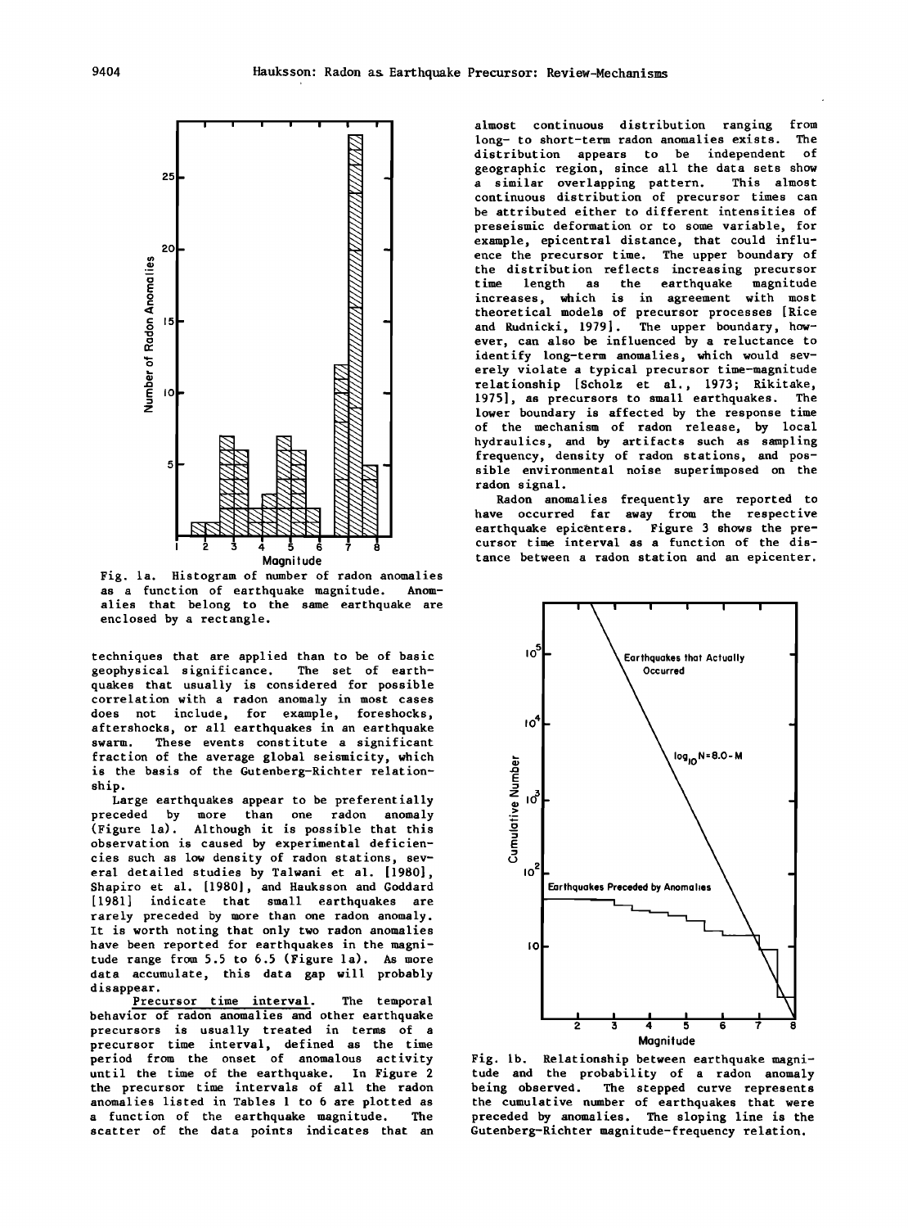

Fig. la. Histogram of number of radon anomalies as a function of earthquake magnitude. alies that belong to the same earthquake are enclosed by a rectangle.

techniques that are applied than to be of basic geophysical significance. The set of earthquakes that usually is considered for possible correlation with a radon anomaly in most cases does not include, for example, foreshocks, aftershocks, or all earthquakes in an earthquake swarm. These events constitute a significant fraction of the average global seismicity, which is the basis of the Gutenberg-Richter relationship.

Large earthquakes appear to be preferentially preceded by more than one radon anomaly (Figure la). Although it is possible that this observation is caused by experimental deficiencies such as low density of radon stations, several detailed studies by Talwani et al. [1980], Shapiro et al. [1980), and Hauksson and Goddard [1981] indicate that small earthquakes are rarely preceded by more than one radon anomaly. It is worth noting that only two radon anomalies have been reported for earthquakes in the magnitude range from 5.5 to 6.5 (Figure la). As more data accumulate, this data gap will probably disappear.

Precursor time interval. The temporal behavior of radon anomalies and other earthquake precursors is usually treated in terms of a precursor time interval, defined as the time period from the onset of anomalous activity until the time of the earthquake. In Figure 2 the precursor time intervals of all the radon anomalies listed in Tables 1 to 6 are plotted as a function of the earthquake magnitude. The scatter of the data points indicates that an

almost continuous distribution ranging from long- to short-term radon anomalies exists. The distribution appears to be independent of geographic region, since all the data sets show<br>a similar overlapping pattern. This almost a similar overlapping pattern. continuous distribution of precursor times can be attributed either to different intensities of preseismic deformation or to some variable, for example, epicentral distance, that could influence the precursor time. The upper boundary of the distribution reflects increasing precursor time length as the earthquake magnitude increases, which is in agreement with most theoretical models of precursor processes [Rice and Rudnicki, 1979]. The upper boundary, however, can also be influenced by a reluctance to identify long-term anomalies, which would severely violate a typical precursor time-magnitude relationship [Scholz et al., 1973; Rikitake, 1975], as precursors to small earthquakes. The lower boundary is affected by the response time of the mechanism of radon release, by local hydraulics, and by artifacts such as sampling frequency, density of radon stations, and possible environmental noise superimposed on the radon signal.

Radon anomalies frequently are reported to have occurred far away from the respective earthquake epicenters. Figure 3 shows the precursor time interval as a function of the distance between a radon station and an epicenter.



Fig. lb. Relationship between earthquake magnitude and the probability of a radon anomaly being observed. The stepped curve represents the cumulative number of earthquakes that were preceded by anomalies. The sloping line is the Gutenberg-Richter magnitude-frequency relation.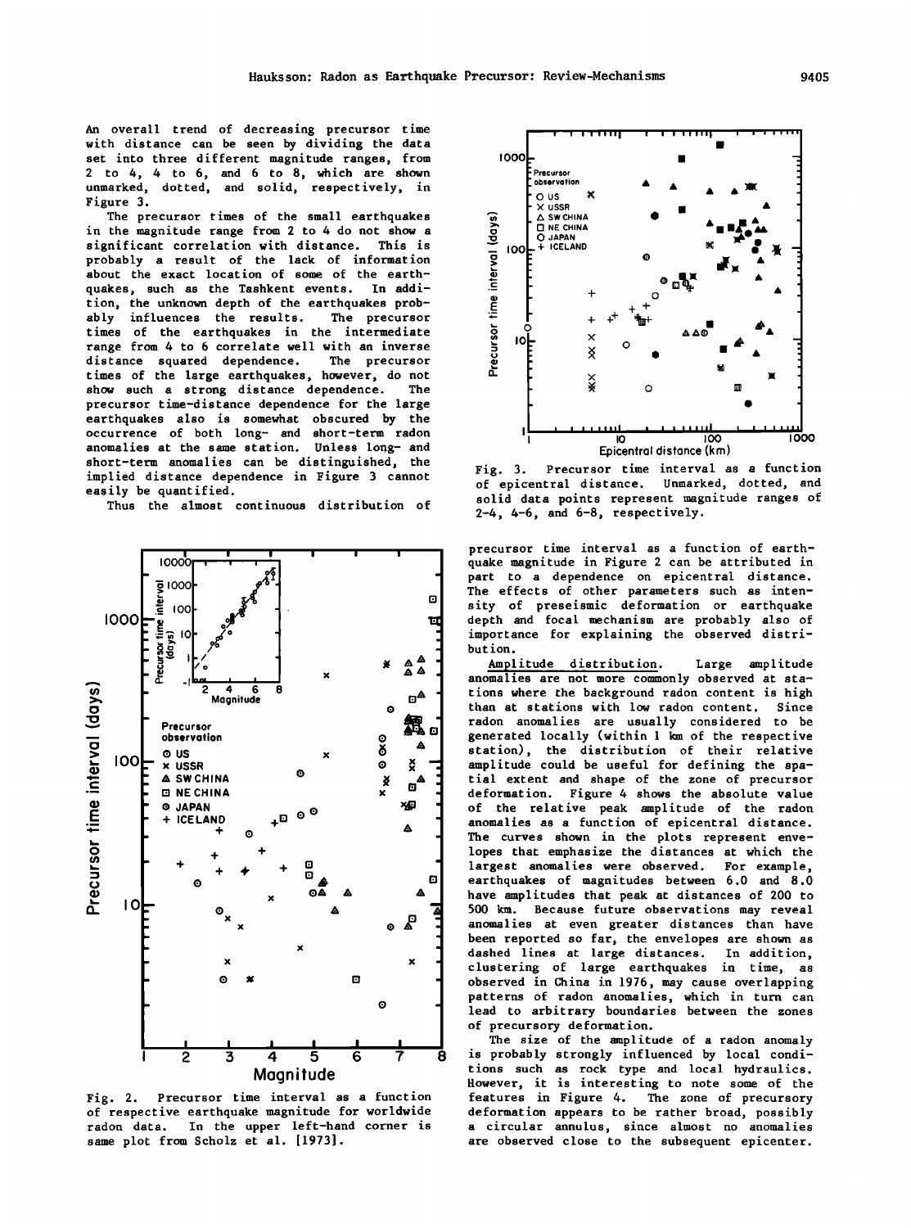An overall trend of decreasing precursor time with distance can be seen by dividing the data set into three different magnitude ranges, from 2 to 4, 4 to 6, and 6 to 8, which are shown<br>unmarked, dotted, and solid, respectively, in Figure 3.

The precursor times of the small earthquakes in the magnitude range from 2 to 4 do not show a significant correlation with distance. This is probably a result of the lack of information about the exact location of some of the earthquakes, such as the Tashkent events. In addition, the unknown depth of the earthquakes probably influences the results. The precursor times of the earthquakes in the intermediate range from 4 to 6 correlate well with an inverse distance squared dependence. The precursor times of the large earthquakes, however, do not show such a strong distance dependence. The precursor time-distance dependence for the large earthquakes also is somewhat obscured by the occurrence of both long- and short-term radon anomalies at the same station. Unless long- and short-term anomalies can be distinguished, the implied distance dependence in Figure 3 cannot easily be quantified.

Thus the almost continuous distribution of



Fig. 2. Precursor time interval as a function of respective earthquake magnitude for worldwide radon data. In the upper left-hand corner is same plot from Scholz et al. [1973].



Precursor time interval as a function Fig. 3. of epicentral distance. Unmarked, dotted, and solid data points represent magnitude ranges of  $2-4$ ,  $4-6$ , and  $6-8$ , respectively.

precursor time interval as a function of earthquake magnitude in Figure 2 can be attributed in part to a dependence on epicentral distance. The effects of other parameters such as intensity of preseismic deformation or earthquake depth and focal mechanism are probably also of importance for explaining the observed distribution.

Amplitude distribution. Large amplitude anomalies are not more commonly observed at stations where the background radon content is high than at stations with low radon content. Since radon anomalies are usually considered to be generated locally (within 1 km of the respective station), the distribution of their relative amplitude could be useful for defining the spatial extent and shape of the zone of precursor deformation. Figure 4 shows the absolute value of the relative peak amplitude of the radon anomalies as a function of epicentral distance. The curves shown in the plots represent envelopes that emphasize the distances at which the largest anomalies were observed. For example, earthquakes of magnitudes between 6.0 and 8.0 have amplitudes that peak at distances of 200 to 500 km. Because future observations may reveal anomalies at even greater distances than have been reported so far, the envelopes are shown as dashed lines at large distances. In addition, clustering of large earthquakes in time, as observed in China in 1976, may cause overlapping patterns of radon anomalies, which in turn can lead to arbitrary boundaries between the zones of precursory deformation.

The size of the amplitude of a radon anomaly is probably strongly influenced by local conditions such as rock type and local hydraulics. However, it is interesting to note some of the features in Figure 4. The zone of precursory deformation appears to be rather broad, possibly a circular annulus, since almost no anomalies are observed close to the subsequent epicenter.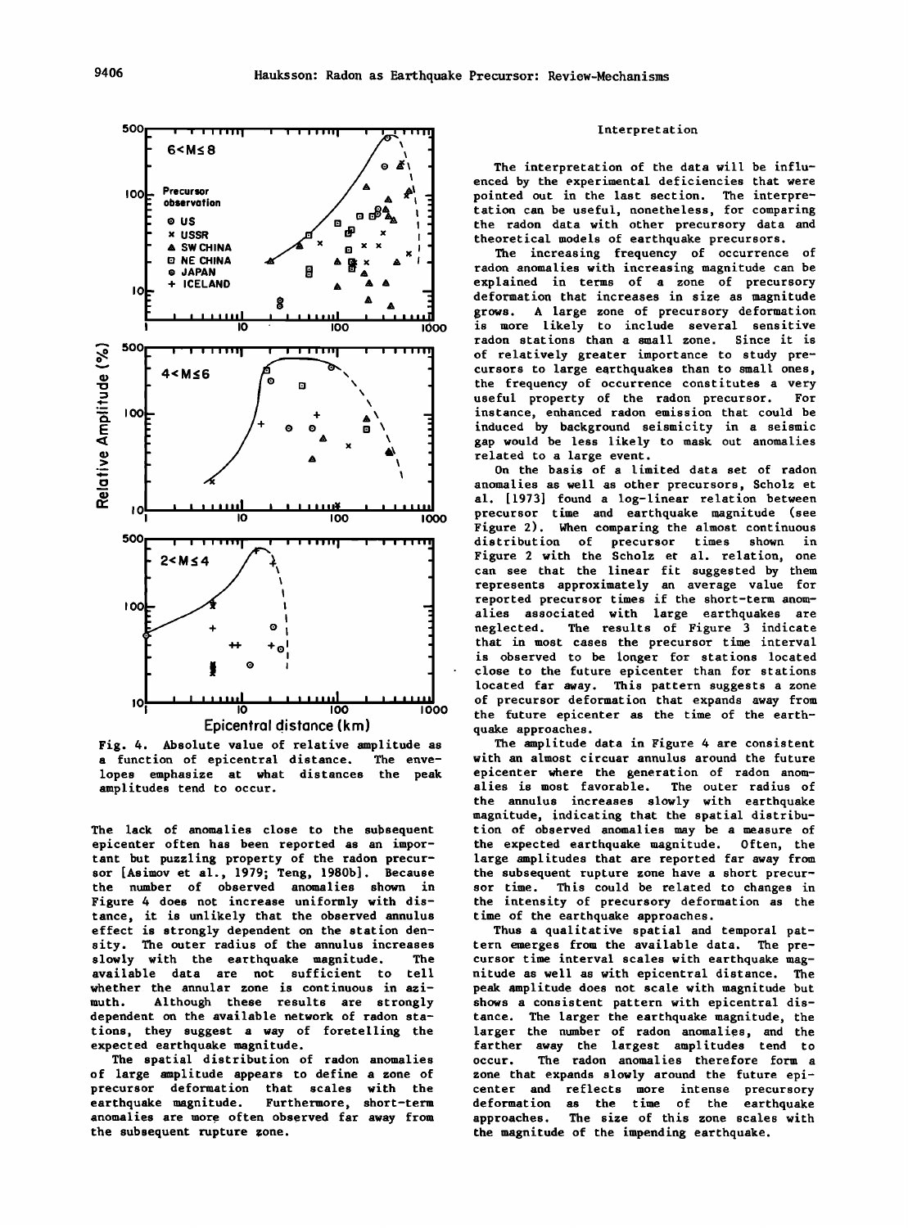

Fig. 4. Absolute value of relative amplitude as a function of epicentral distance. The envelopes emphasize at what distances the peak amplitudes tend to occur.

The lack of anomalies close to the subsequent epicenter often has been reported as an important but puzzling property of the radon precursor [Asimov et al., 1979; Teng, 1980b]. Because the number of observed anomalies shown in Figure 4 does not increase uniformly with distance, it is unlikely that the observed annulus effect is strongly dependent on the station density. The outer radius of the annulus increases<br>slowly with the earthquake magnitude. The slowly with the earthquake magnitude. available data are not sufficient to tell whether the annular zone is continuous in azimuth. Although these results are strongly dependent on the available network of radon stations, they suggest a way of foretelling the expected earthquake magnitude.

The spatial distribution of radon anomalies of large amplitude appears to define a zone of precursor deformation that scales with the earthquake magnitude. Furthermore, short-term anomalies are more often observed far away from the subsequent rupture zone.

### Interpretation

The interpretation of the data will be influenced by the experimental deficiencies that were pointed out in the last section. The interpretation can be useful, nonetheless, for comparing the radon data with other precursory data and theoretical models of earthquake precursors.

The increasing frequency of occurrence of radon anomalies with increasing magnitude can be explained in terms of a zone of precursory deformation that increases in size as magnitude grows. A large zone of precursory deformation 1s more likely to include several sensitive radon stations than a small zone. Since it is of relatively greater importance to study precursors to large earthquakes than to small ones, the frequency of occurrence constitutes a very<br>useful property of the radon precursor. For useful property of the radon precursor. instance, enhanced radon emission that could be induced by background seismicity in a seismic gap would be less likely to mask out anomalies related to a large event.

On the basis of a limited data set of radon anomalies as well as other precursors, Scholz et al. [1973] found a log-linear relation between precursor time and earthquake magnitude (see Figure 2). When comparing the almost continuous distribution of precursor times shown in Figure 2 with the Scholz et al. relation, one can see that the linear fit suggested by them represents approximately an average value for reported precursor times if the short-term anomalies associated with large earthquakes are neglected. The results of Figure 3 indicate that in most cases the precursor time interval is observed to be longer for stations located close to the future epicenter than for stations located far away. This pattern suggests a zone of precursor deformation that expands away from the future epicenter as the time of the earthquake approaches.

The amplitude data in Figure 4 are consistent with an almost circuar annulus around the future epicenter where the generation of radon anomalies is most favorable. The outer radius of the annulus increases slowly with earthquake magnitude, indicating that the spatial distribution of observed anomalies may be a measure of the expected earthquake magnitude. Often, the large amplitudes that are reported far away from the subsequent rupture zone have a short precursor time. This could be related to changes in the intensity of precursory deformation as the time of the earthquake approaches.

Thus a qualitative spatial and temporal pattern emerges from the available data. The precursor time interval scales with earthquake magnitude as well as with epicentral distance. The peak amplitude does not scale with magnitude but shows a consistent pattern with epicentral distance. The larger the earthquake magnitude, the larger the number of radon anomalies, and the farther away the largest amplitudes tend to occur. The radon anomalies therefore form a zone that expands slowly around the future epicenter and reflects more intense precursory deformation as the time of the earthquake approaches. The size of this zone scales with the magnitude of the impending earthquake.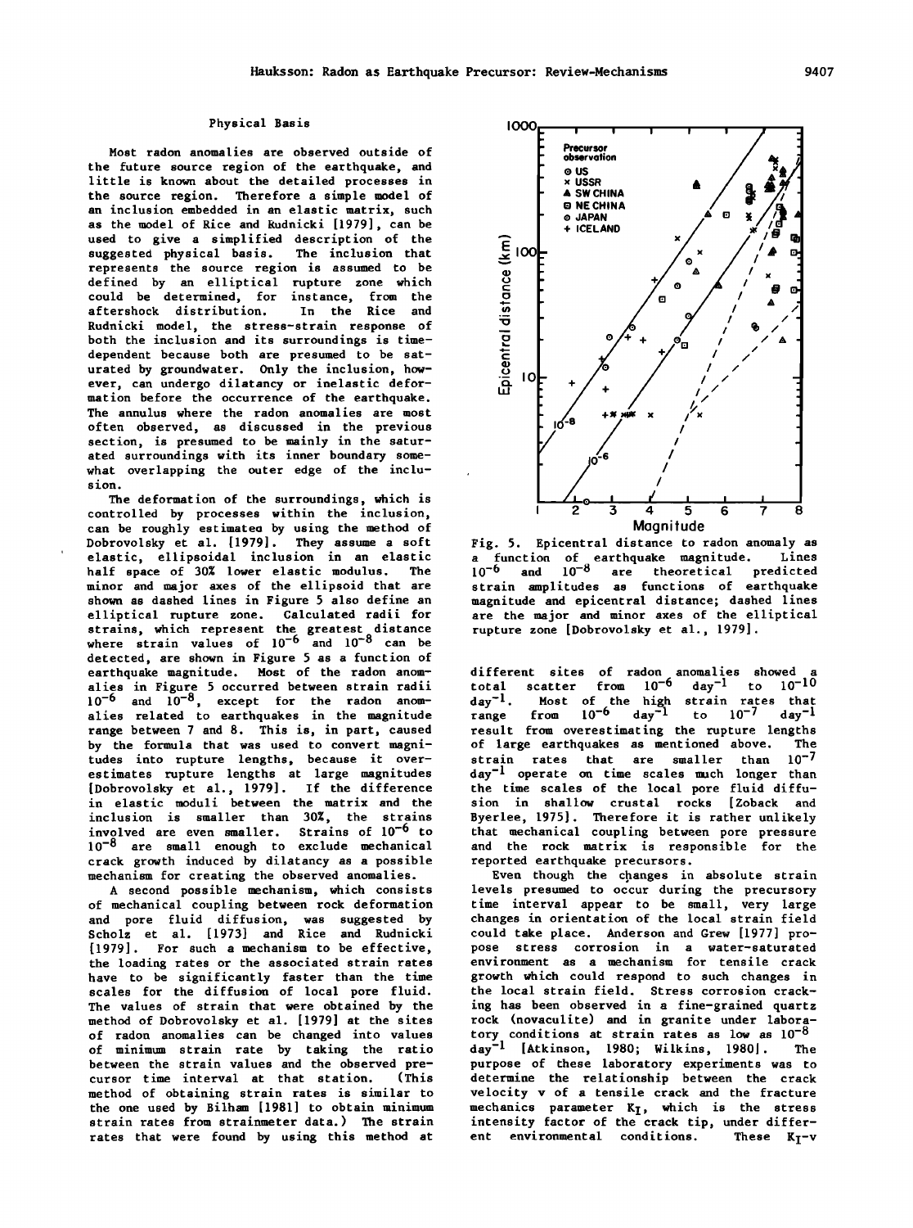### Physical Basis

Most radon anomalies are observed outside of the future source region of the earthquake, and little is known about the detailed processes in the source region. Therefore a simple model of an inclusion embedded in an elastic matrix, such as the model of Rice and Rudnicki [1979), can be used to give a simplified description of the<br>suggested physical basis. The inclusion that suggested physical basis. represents the source region is assumed to be defined by an elliptical rupture zone which could be determined, for instance, from the<br>aftershock distribution. In the Rice and aftershock distribution. Rudnicki model, the stress-strain response of both the inclusion and its surroundings is timedependent because both are presumed to be saturated by groundwater. Only the inclusion, however, can undergo dilatancy or inelastic deformation before the occurrence of the earthquake. The annulus where the radon anomalies are most often observed, as discussed in the previous section, is presumed to be mainly in the saturated surroundings with its inner boundary somewhat overlapping the outer edge of the inclusion.

The deformation of the surroundings, which is controlled by processes within the inclusion, can be roughly estimatea by using the method of Dobrovolsky et al. [1979). They assume a soft elastic, ellipsoidal inclusion in an elastic half space of 30% lower elastic modulus. The minor and major axes of the ellipsoid that are shown as dashed lines in Figure *5* also define an elliptical rupture zone. Calculated radii for strains, which represent the greatest distance where strain values of  $10^{-6}$  and  $10^{-8}$  can be detected, are shown in Figure *5* as a function of earthquake magnitude. Most of the radon anomalies in Figure *5* occurred between strain radii  $10^{-6}$  and  $10^{-8}$ , except for the radon anomalies related to earthquakes in the magnitude range between 7 and 8. This is, in part, caused by the formula that was used to convert magnitudes into rupture lengths, because it overestimates rupture lengths at large magnitudes [Dobrovolsky et al., 1979). If the difference in elastic moduli between the matrix and the inclusion is smaller than 30%, the strains involved are even smaller. Strains of 10<sup>-6</sup> to 10<sup>-8</sup> are small enough to exclude mechanical crack growth induced by dilatancy as a possible mechanism for creating the observed anomalies.

A second possible mechanism, which consists of mechanical coupling between rock deformation and pore fluid diffusion, was suggested by Scholz et al. [1973) and Rice and Rudnicki [1979). For such a mechanism to be effective, the loading rates or the associated strain rates have to be significantly faster than the time scales for the diffusion of local pore fluid. The values of strain that were obtained by the method of Dobrovolsky et al. [1979) at the sites of radon anomalies can be changed into values of minimum strain rate by taking the ratio between the strain values and the observed precursor time interval at that station. (This method of obtaining strain rates is similar to the one used by Bilham [1981) to obtain minimum strain rates from strainmeter data.) The strain rates that were found by using this method at



Fig. *5.* Epicentral distance to radon anomaly as a function of earthquake magnitude. Lines 10<sup>-6</sup> and 10<sup>-8</sup> are theoretical predicted strain amplitudes as functions of earthquake magnitude and epicentral distance; dashed lines are the major and minor axes of the elliptical rupture zone [Dobrovolsky et al., 1979).

different sites of radon anomalies showed a total scatter from  $10^{-6}$  day<sup>-1</sup> to  $10^{-10}$ day<sup>-1</sup>. Most of the high strain rates that range from  $10^{-6}$  day<sup>-1</sup> to  $10^{-7}$  day<sup>-1</sup> result from overestimating the rupture lengths<br>of large earthquakes as mentioned above. The of large earthquakes as mentioned above. The strain rates that are smaller than  $10^{-7}$  $strain$  rates that are smaller than  $day^{-1}$  operate on time scales much longer than the time scales of the local pore fluid diffusion in shallow crustal rocks [Zoback and Byerlee, 1975). Therefore it is rather unlikely that mechanical coupling between pore pressure and the rock matrix is responsible for the reported earthquake precursors.

Even though the cpanges in absolute strain levels presumed to occur during the precursory time interval appear to be small, very large changes in orientation of the local strain field could take place. Anderson and Grew [1977) propose stress corrosion in a water-saturated environment as a mechanism for tensile crack growth which could respond to such changes in the local strain field. Stress corrosion cracking has been observed in a fine-grained quartz rock (novaculite) and in granite under laboratory conditions at strain rates as low as  $10^{-8}$ day<sup>-1</sup> [Atkinson, 1980; Wilkins, 1980]. The purpose of these laboratory experiments was to determine the relationship between the crack velocity v of a tensile crack and the fracture mechanics parameter  $K_{\bar{I}}$ , which is the stress intensity factor of the crack tip, under different environmental conditions. These  $K_T$ -v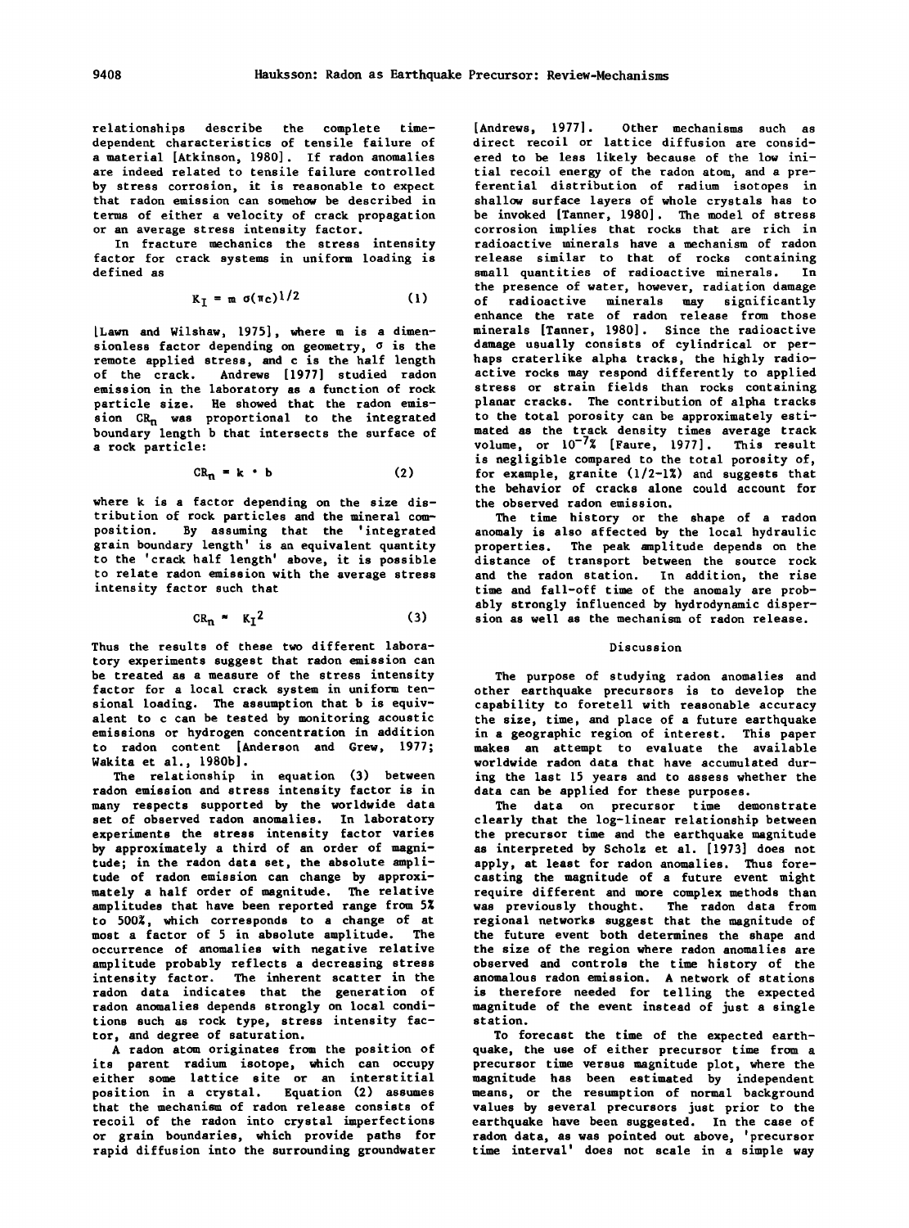relationships describe the complete timedependent characteristics of tensile failure of a material [Atkinson, 1980]. If radon anomalies are indeed related to tensile failure controlled by stress corrosion, it is reasonable to expect that radon emission can somehow be described in terms of either a velocity of crack propagation or an average stress intensity factor.

In fracture mechanics the stress intensity factor for crack systems in uniform loading is defined as

$$
K_{I} = m \sigma(\pi_{C})^{1/2} \qquad (1)
$$

lLawn and Wilshaw, 1975], where m is a dimensionless factor depending on geometry, *a*  is the remote applied stress, and c is the half length of the crack. Andrews [1977] studied radon emission in the laboratory as a function of rock particle size. He showed that the radon emission  $CR_n$  was proportional to the integrated boundary length b that intersects the surface of a rock particle:

$$
CR_n = k \cdot b \tag{2}
$$

where k is a factor depending on the size distribution of rock particles and the mineral composition. By assuming that the 'integrated grain boundary length' is an equivalent quantity to the 'crack half length' above, it is possible to relate radon emission with the average stress intensity factor such that

$$
CR_n \approx K_I^2 \tag{3}
$$

Thus the results of these two different laboratory experiments suggest that radon emission can be treated as a measure of the stress intensity factor for a local crack system in uniform tensional loading. The assumption that b is equivalent to c can be tested by monitoring acoustic emissions or hydrogen concentration in addition to radon content [Anderson and Grew, 1977; Wakita et al., 1980b].

The relationship in equation (3) between radon emission and stress intensity factor is in many respects supported by the worldwide data set of observed radon anomalies. In laboratory experiments the stress intensity factor varies by approximately a third of an order of magnitude; in the radon data set, the absolute amplitude of radon emission can change by approximately a half order of magnitude. The relative amplitudes that have been reported range from 5% to 500%, which corresponds to a change of at most a factor of 5 in absolute amplitude. The occurrence of anomalies with negative relative amplitude probably reflects a decreasing stress intensity factor. The inherent scatter in the radon data indicates that the generation of radon anomalies depends strongly on local conditions such as rock type, stress intensity factor, and degree of saturation.

A radon atom originates from the position of its parent radium isotope, which can occupy either some lattice site or an interstitial position in a crystal. Equation (2) assumes that the mechanism of radon release consists of recoil of the radon into crystal imperfections or grain boundaries, which provide paths for rapid diffusion into the surrounding groundwater

[Andrews, 1977]. Other mechanisms such as direct recoil or lattice diffusion are considered to be less likely because of the low initial recoil energy of the radon atom, and a preferential distribution of radium isotopes in shallow surface layers of whole crystals has to be invoked [Tanner, 1980]. The model of stress corrosion implies that rocks that are rich in radioactive minerals have a mechanism of radon release similar to that of rocks containing small quantities of radioactive minerals. In the presence of water, however, radiation damage of radioactive minerals may significantly enhance the rate of radon release from those minerals [Tanner, 1980]. Since the radioactive damage usually consists of cylindrical or perhaps craterlike alpha tracks, the highly radioactive rocks may respond differently to applied stress or strain fields than rocks containing planar cracks. The contribution of alpha tracks to the total porosity can be approximately estimated as the track density times average track volume, or  $10^{-7}$ % [Faure, 1977]. This result is negligible compared to the total porosity of, for example, granite  $(1/2-1\%)$  and suggests that the behavior of cracks alone could account for the observed radon emission.

The time history or the shape of a radon anomaly is also affected by the local hydraulic properties. The peak amplitude depends on the distance of transport between the source rock and the radon station. In addition, the rise time and fall-off time of the anomaly are probably strongly influenced by hydrodynamic dispersion as well as the mechanism of radon release.

#### Discussion

The purpose of studying radon anomalies and other earthquake precursors is to develop the capability to foretell with reasonable accuracy the size, time, and place of a future earthquake in a geographic region of interest. This paper makes an attempt to evaluate the available worldwide radon data that have accumulated during the last 15 years and to assess whether the data can be applied for these purposes.

The data on precursor time demonstrate clearly that the log-linear relationship between the precursor time and the earthquake magnitude as interpreted by Scholz et al. [ 1973] does not apply, at least for radon anomalies. Thus forecasting the magnitude of a future event might require different and more complex methods than was previously thought. The radon data from regional networks suggest that the magnitude of the future event both determines the shape and the size of the region where radon anomalies are observed and controls the time history of the anomalous radon emission. A network of stations is therefore needed for telling the expected magnitude of the event instead of just a single station.

To forecast the time of the expected earthquake, the use of either precursor time from a precursor time versus magnitude plot, where the magnitude has been estimated by independent means, or the resumption of normal background values by several precursors just prior to the earthquake have been suggested. In the case of radon data, as was pointed out above, 'precursor time interval' does not scale in a simple way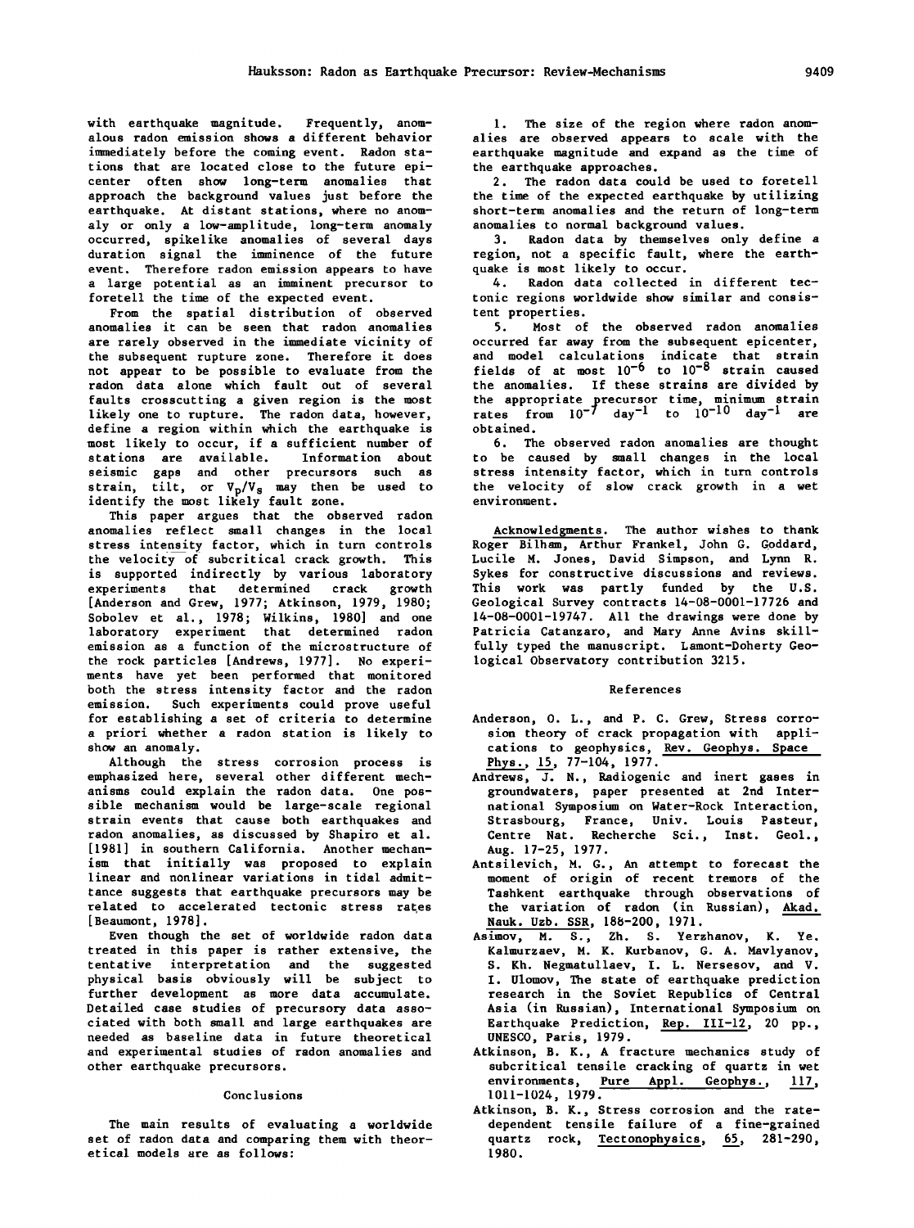with earthquake magnitude. Frequently, anomalous radon emission shows a different behavior immediately before the coming event. Radon stations that are located close to the future epicenter often show long-term anomalies that approach the background values just before the earthquake. At distant stations, where no anomaly or only a low-amplitude, long-term anomaly occurred, spikelike anomalies of several days duration signal the imminence of the future event. Therefore radon emission appears to have a large potential as an imminent precursor to foretell the time of the expected event.

From the spatial distribution of observed anomalies it can be seen that radon anomalies are rarely observed in the immediate vicinity of the subsequent rupture zone. Therefore it does not appear to be possible to evaluate from the radon data alone which fault out of several faults crosscutting a given region is the most likely one to rupture. The radon data, however, define a region within which the earthquake is most likely to occur, if a sufficient number of stations are available. Information about seismic gaps and other precursors such as strain, tilt, or  $V_p/V_s$  may then be used to identify the most likely fault zone.

This paper argues that the observed radon anomalies reflect small changes in the local stress intensity factor, which in turn controls the velocity of subcritical crack growth. This is supported indirectly by various laboratory experiments that determined crack growth [Anderson and Grew, 1977; Atkinson, 1979, 1980; Sobolev et al., 1978; Wilkins, 1980] and one laboratory experiment that determined radon emission as a function of the microstructure of the rock particles [Andrews, 1977]. No experiments have yet been performed that monitored both the stress intensity factor and the radon emission. Such experiments could prove useful for establishing a set of criteria to determine a priori whether a radon station is likely to show an anomaly.

Although the stress corrosion process is emphasized here, several other different mechanisms could explain the radon data. One possible mechanism would be large-scale regional strain events that cause both earthquakes and radon anomalies, as discussed by Shapiro et al. [ 1981] in southern California. Another mechanism that initially was proposed to explain linear and nonlinear variations in tidal admittance suggests that earthquake precursors may be  $related$  to accelerated tectonic stress rates [Beaumont, 1978].

Even though the set of worldwide radon data treated in this paper is rather extensive, the tentative interpretation and the suggested physical basis obviously will be subject to further development as more data accumulate. Detailed case studies of precursory data associated with both small and large earthquakes are needed as baseline data in future theoretical and experimental studies of radon anomalies and other earthquake precursors.

#### Conclusions

The main results of evaluating a worldwide set of radon data and comparing them with theoretical models are as follows:

1. The size of the region where radon anomalies are observed appears to scale with the earthquake magnitude and expand as the time of the earthquake approaches.

2. The radon data could be used to foretell the time of the expected earthquake by utilizing short-term anomalies and the return of long-term anomalies to normal background values.

3. Radon data by themselves only define a region, not a specific fault, where the earthquake is most likely to occur.

4. Radon data collected in different tectonic regions worldwide show similar and consistent properties.

5. Most of the observed radon anomalies occurred far away from the subsequent epicenter, and model calculations indicate that strain fields of at most  $10^{-6}$  to  $10^{-8}$  strain caused the anomalies. If these strains are divided by the appropriate precursor time, minimum strain rates from 10-7 day-1 to 10-10 day-1 are obtained.

6. The observed radon anomalies are thought to be caused by small changes in the local stress intensity factor, which in turn controls the velocity of slow crack growth in a wet environment.

Acknowledgments. The author wishes to thank Roger Bilham, Arthur Frankel, John G. Goddard, Lucile M. Jones, David Simpson, and Lynn R. Sykes for constructive discussions and reviews. This work was partly funded by the U.S. Geological Survey contracts 14-08-0001-17726 and 14-08-0001-19747. All the drawings were done by Patricia Catanzaro, and Mary Anne Avins skillfully typed the manuscript. Lamont-Doherty Geological Observatory contribution 3215.

#### References

- Anderson, 0. L., and P. C. Grew, Stress corrosion theory of crack propagation with applications to geophysics, Rev. Geophys. Space Phys., 15, 77-104, 1977.
- Andrews, J. N., Radiogenic and inert gases in groundwaters, paper presented at 2nd International Symposium on Water-Rock Interaction, Strasbourg, France, Univ. Louis Pasteur, Centre Nat. Recherche Sci., Inst. Geol., Aug. 17-25, 1977.
- Antsilevich, M. G., An attempt to forecast the moment of origin of recent tremors of the Tashkent earthquake through observations of the variation of radon (in Russian), Akad. Nauk. Uzb. SSR, 188-200, 1971.
- Asimov, M. S., Zh. S. Yerzhanov, K. Ye. Kalmurzaev, M. K. Kurbanov, G. A. Mavlyanov, S. Kh. Negmatullaev, I. L. Nersesov, and V. I. Ulomov, The state of earthquake predict ion research in the Soviet Republics of Central Asia (in Russian), International Symposium on Earthquake Prediction, Rep. III-12, 20 pp., UNESCO, Paris, 1979.
- Atkinson, B. K., A fracture mechanics study of subcritical tensile cracking of quartz in wet environments, <u>Pure Appl. Geophys.</u>, 117, 1011-1024, 1979.
- Atkinson, B. K., Stress corrosion and the ratedependent tensile failure of a fine-grained quartz rock, Tectonophysics, 65, 281-290, 1980.